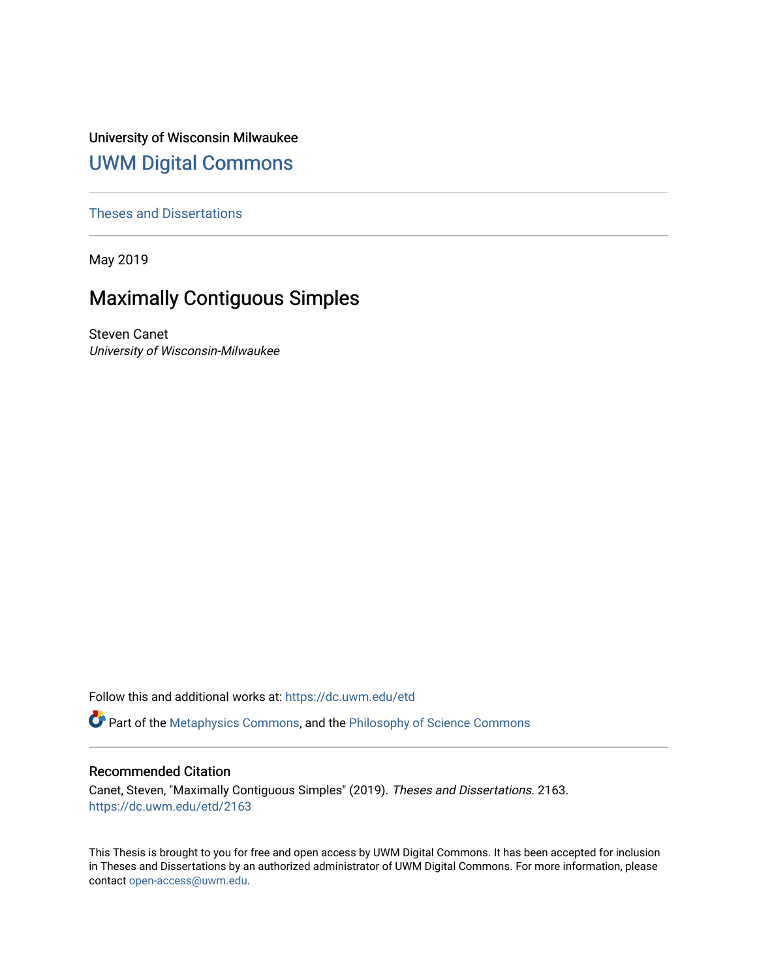University of Wisconsin Milwaukee [UWM Digital Commons](https://dc.uwm.edu/)

[Theses and Dissertations](https://dc.uwm.edu/etd)

May 2019

## Maximally Contiguous Simples

Steven Canet University of Wisconsin-Milwaukee

Follow this and additional works at: [https://dc.uwm.edu/etd](https://dc.uwm.edu/etd?utm_source=dc.uwm.edu%2Fetd%2F2163&utm_medium=PDF&utm_campaign=PDFCoverPages) 

Part of the [Metaphysics Commons](http://network.bepress.com/hgg/discipline/533?utm_source=dc.uwm.edu%2Fetd%2F2163&utm_medium=PDF&utm_campaign=PDFCoverPages), and the [Philosophy of Science Commons](http://network.bepress.com/hgg/discipline/536?utm_source=dc.uwm.edu%2Fetd%2F2163&utm_medium=PDF&utm_campaign=PDFCoverPages)

#### Recommended Citation

Canet, Steven, "Maximally Contiguous Simples" (2019). Theses and Dissertations. 2163. [https://dc.uwm.edu/etd/2163](https://dc.uwm.edu/etd/2163?utm_source=dc.uwm.edu%2Fetd%2F2163&utm_medium=PDF&utm_campaign=PDFCoverPages) 

This Thesis is brought to you for free and open access by UWM Digital Commons. It has been accepted for inclusion in Theses and Dissertations by an authorized administrator of UWM Digital Commons. For more information, please contact [open-access@uwm.edu](mailto:open-access@uwm.edu).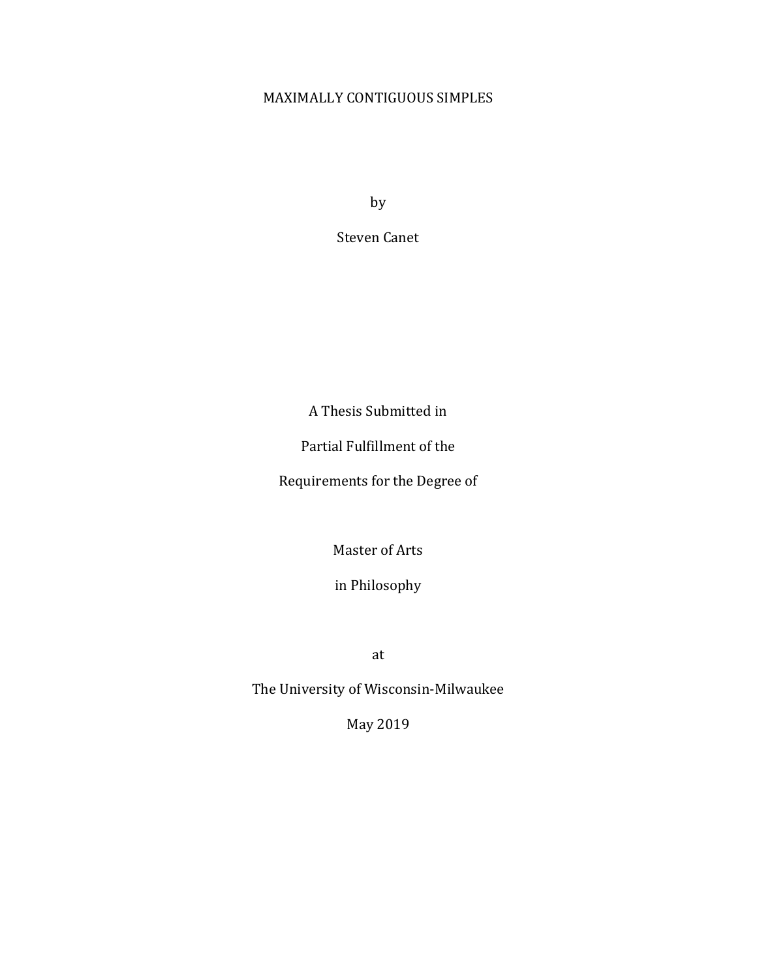### MAXIMALLY CONTIGUOUS SIMPLES

by

Steven Canet

A Thesis Submitted in

Partial Fulfillment of the

Requirements for the Degree of

Master of Arts

in Philosophy

at

The University of Wisconsin-Milwaukee

May 2019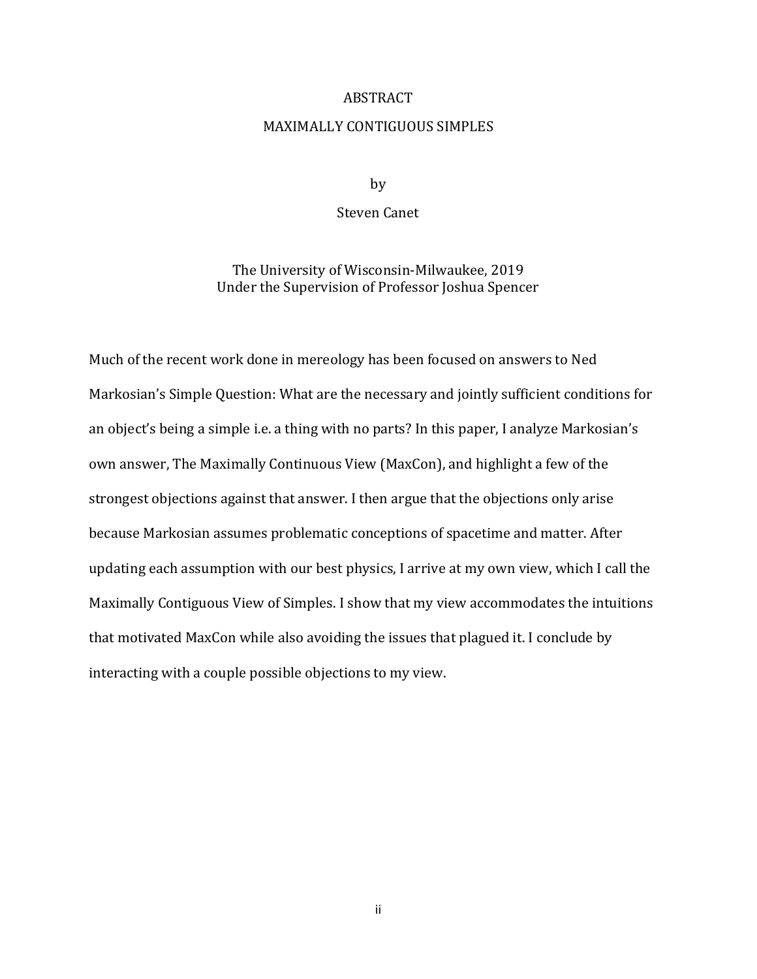#### ABSTRACT

#### MAXIMALLY CONTIGUOUS SIMPLES

by

#### Steven Canet

The University of Wisconsin-Milwaukee, 2019 Under the Supervision of Professor Joshua Spencer

Much of the recent work done in mereology has been focused on answers to Ned Markosian's Simple Question: What are the necessary and jointly sufficient conditions for an object's being a simple i.e. a thing with no parts? In this paper, I analyze Markosian's own answer, The Maximally Continuous View (MaxCon), and highlight a few of the strongest objections against that answer. I then argue that the objections only arise because Markosian assumes problematic conceptions of spacetime and matter. After updating each assumption with our best physics, I arrive at my own view, which I call the Maximally Contiguous View of Simples. I show that my view accommodates the intuitions that motivated MaxCon while also avoiding the issues that plagued it. I conclude by interacting with a couple possible objections to my view.

ii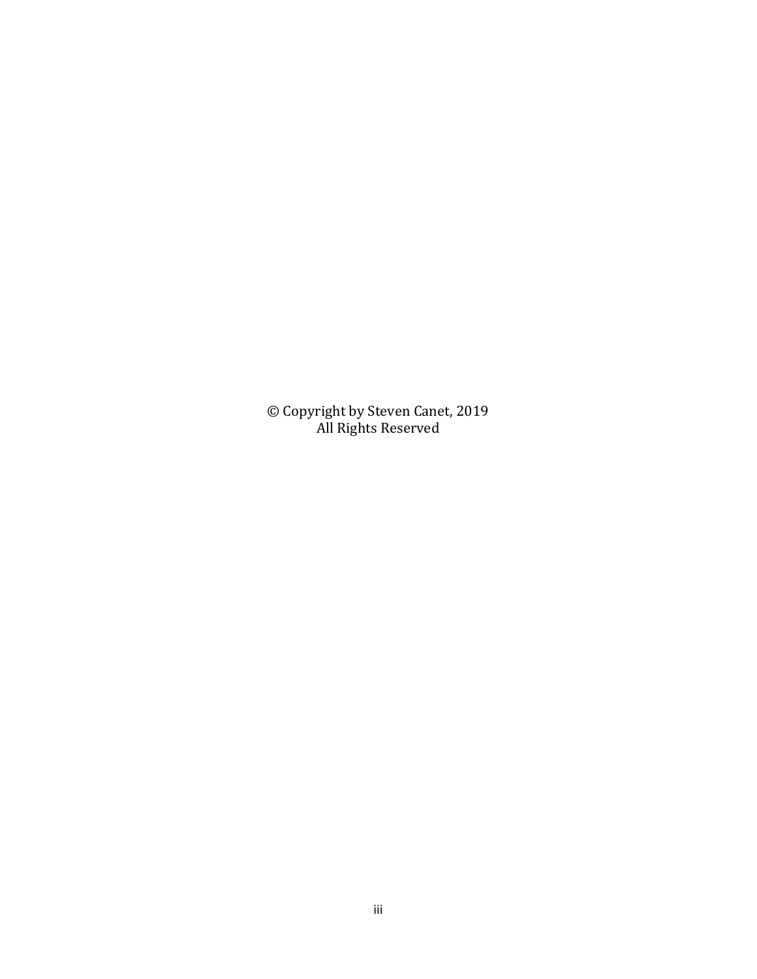© Copyright by Steven Canet, 2019 All Rights Reserved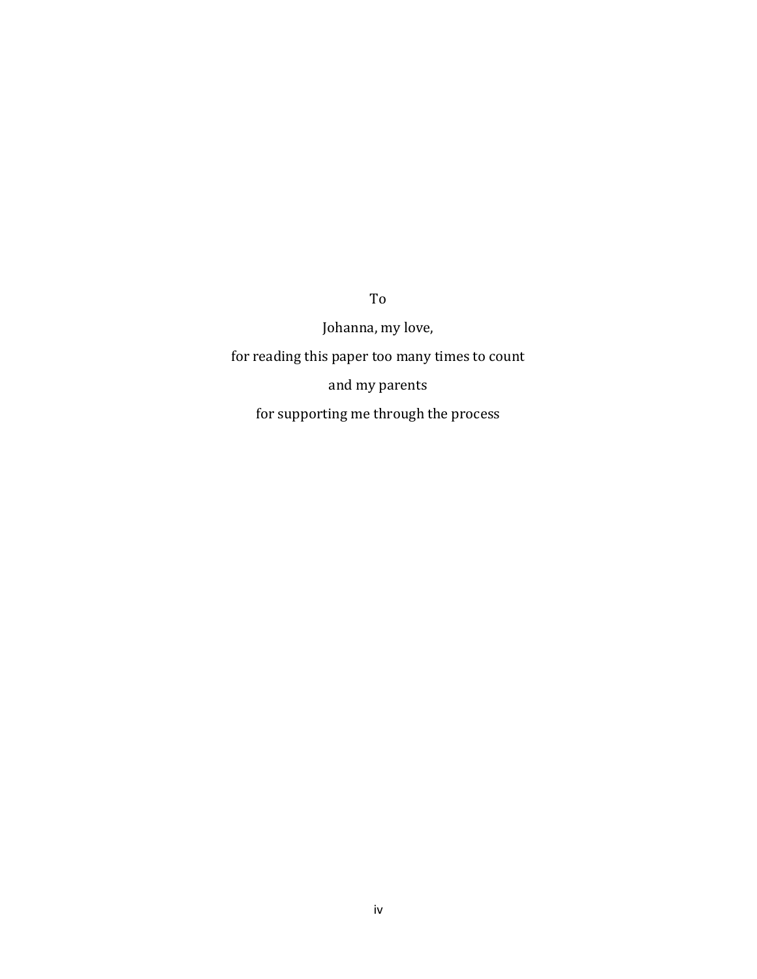Johanna, my love, for reading this paper too many times to count and my parents for supporting me through the process

To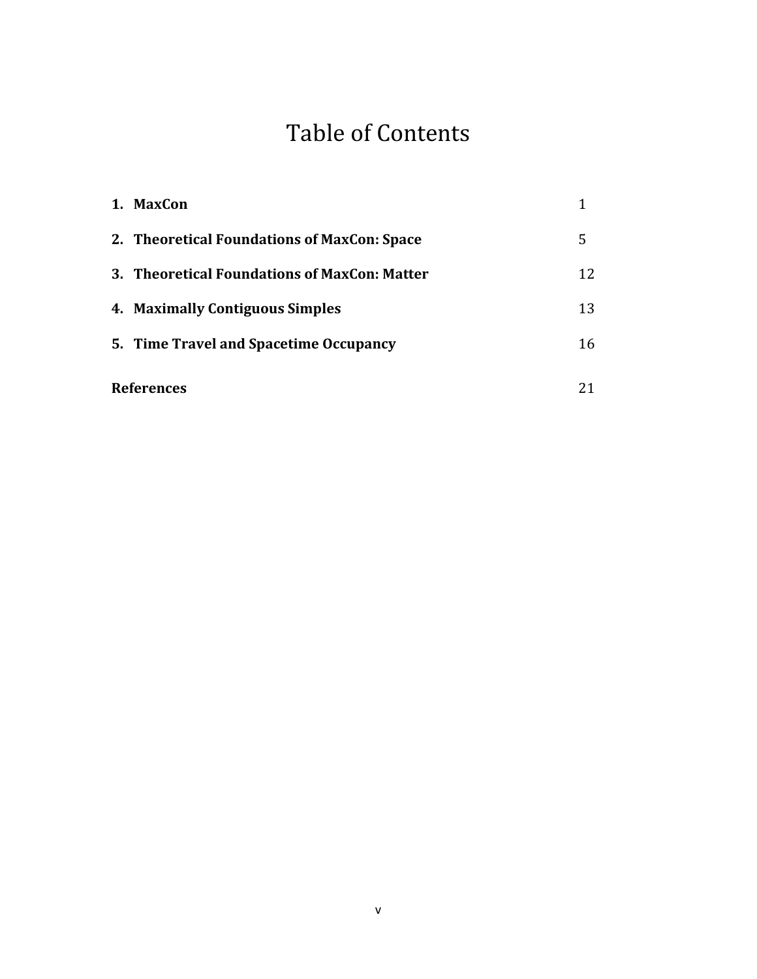# Table of Contents

|                   | 1. MaxCon                                    |    |
|-------------------|----------------------------------------------|----|
|                   | 2. Theoretical Foundations of MaxCon: Space  | 5  |
|                   | 3. Theoretical Foundations of MaxCon: Matter | 12 |
|                   | 4. Maximally Contiguous Simples              | 13 |
|                   | 5. Time Travel and Spacetime Occupancy       | 16 |
| <b>References</b> |                                              |    |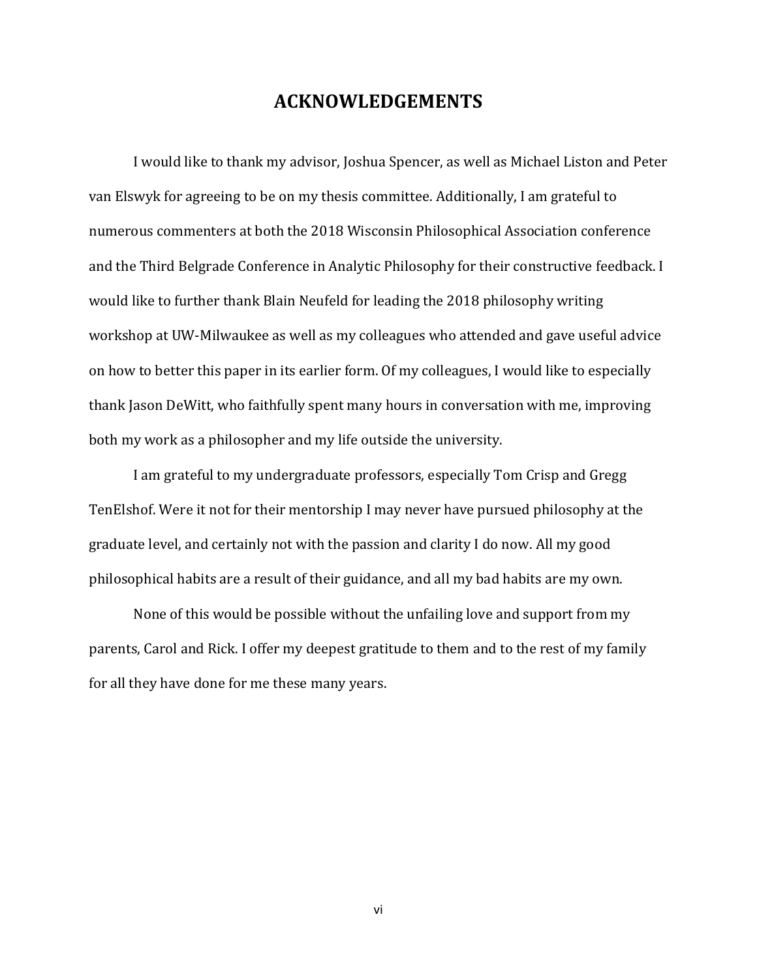## **ACKNOWLEDGEMENTS**

I would like to thank my advisor, Joshua Spencer, as well as Michael Liston and Peter van Elswyk for agreeing to be on my thesis committee. Additionally, I am grateful to numerous commenters at both the 2018 Wisconsin Philosophical Association conference and the Third Belgrade Conference in Analytic Philosophy for their constructive feedback. I would like to further thank Blain Neufeld for leading the 2018 philosophy writing workshop at UW-Milwaukee as well as my colleagues who attended and gave useful advice on how to better this paper in its earlier form. Of my colleagues, I would like to especially thank Jason DeWitt, who faithfully spent many hours in conversation with me, improving both my work as a philosopher and my life outside the university.

I am grateful to my undergraduate professors, especially Tom Crisp and Gregg TenElshof. Were it not for their mentorship I may never have pursued philosophy at the graduate level, and certainly not with the passion and clarity I do now. All my good philosophical habits are a result of their guidance, and all my bad habits are my own.

None of this would be possible without the unfailing love and support from my parents, Carol and Rick. I offer my deepest gratitude to them and to the rest of my family for all they have done for me these many years.

vi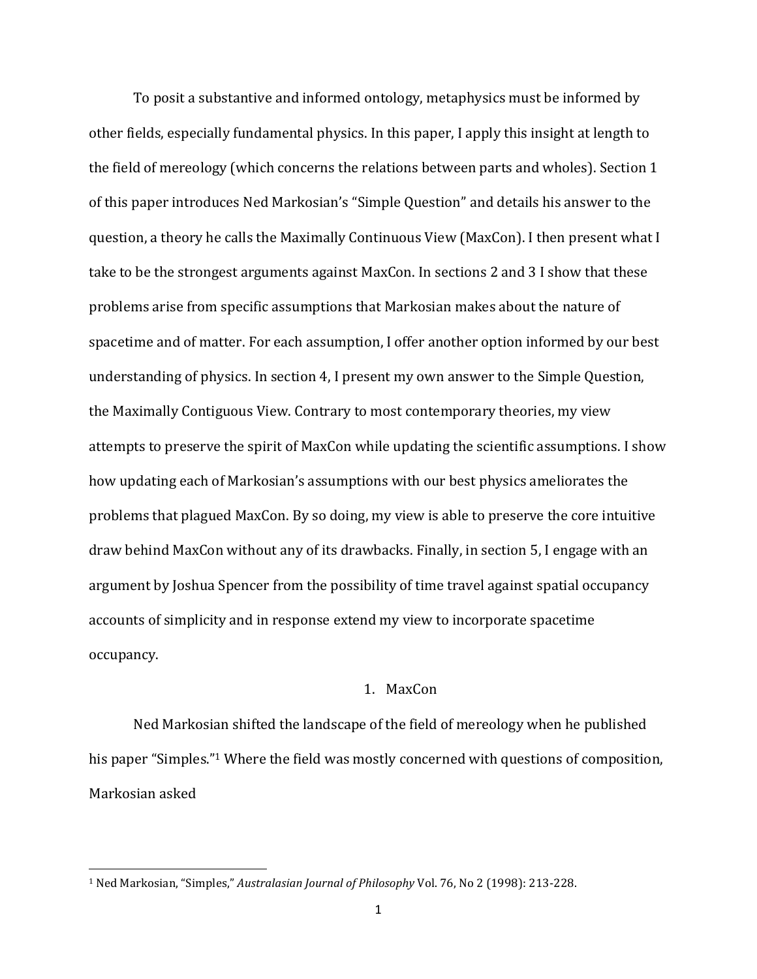To posit a substantive and informed ontology, metaphysics must be informed by other fields, especially fundamental physics. In this paper, I apply this insight at length to the field of mereology (which concerns the relations between parts and wholes). Section 1 of this paper introduces Ned Markosian's "Simple Question" and details his answer to the question, a theory he calls the Maximally Continuous View (MaxCon). I then present what I take to be the strongest arguments against MaxCon. In sections 2 and 3 I show that these problems arise from specific assumptions that Markosian makes about the nature of spacetime and of matter. For each assumption, I offer another option informed by our best understanding of physics. In section 4, I present my own answer to the Simple Question, the Maximally Contiguous View. Contrary to most contemporary theories, my view attempts to preserve the spirit of MaxCon while updating the scientific assumptions. I show how updating each of Markosian's assumptions with our best physics ameliorates the problems that plagued MaxCon. By so doing, my view is able to preserve the core intuitive draw behind MaxCon without any of its drawbacks. Finally, in section 5, I engage with an argument by Joshua Spencer from the possibility of time travel against spatial occupancy accounts of simplicity and in response extend my view to incorporate spacetime occupancy.

#### 1. MaxCon

Ned Markosian shifted the landscape of the field of mereology when he published his paper "Simples." <sup>1</sup> Where the field was mostly concerned with questions of composition, Markosian asked

<sup>1</sup> Ned Markosian, "Simples," *Australasian Journal of Philosophy* Vol. 76, No 2 (1998): 213-228.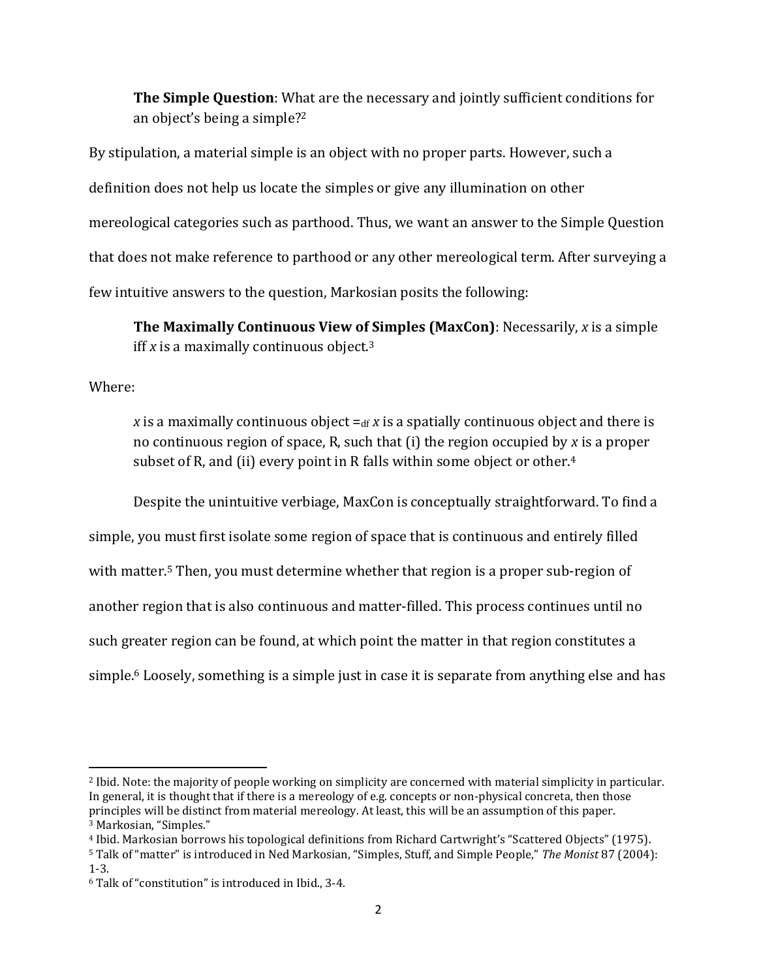**The Simple Question**: What are the necessary and jointly sufficient conditions for an object's being a simple?<sup>2</sup>

By stipulation, a material simple is an object with no proper parts. However, such a definition does not help us locate the simples or give any illumination on other mereological categories such as parthood. Thus, we want an answer to the Simple Question that does not make reference to parthood or any other mereological term. After surveying a few intuitive answers to the question, Markosian posits the following:

**The Maximally Continuous View of Simples (MaxCon)**: Necessarily, *x* is a simple iff *x* is a maximally continuous object.<sup>3</sup>

Where:

l

*x* is a maximally continuous object  $=_{df} x$  is a spatially continuous object and there is no continuous region of space, R, such that (i) the region occupied by *x* is a proper subset of R, and (ii) every point in R falls within some object or other.<sup>4</sup>

Despite the unintuitive verbiage, MaxCon is conceptually straightforward. To find a

simple, you must first isolate some region of space that is continuous and entirely filled with matter. <sup>5</sup> Then, you must determine whether that region is a proper sub-region of another region that is also continuous and matter-filled. This process continues until no such greater region can be found, at which point the matter in that region constitutes a simple.<sup>6</sup> Loosely, something is a simple just in case it is separate from anything else and has

<sup>2</sup> Ibid. Note: the majority of people working on simplicity are concerned with material simplicity in particular. In general, it is thought that if there is a mereology of e.g. concepts or non-physical concreta, then those principles will be distinct from material mereology. At least, this will be an assumption of this paper. <sup>3</sup> Markosian, "Simples."

<sup>4</sup> Ibid. Markosian borrows his topological definitions from Richard Cartwright's "Scattered Objects" (1975).

<sup>5</sup> Talk of "matter" is introduced in Ned Markosian, "Simples, Stuff, and Simple People," *The Monist* 87 (2004): 1-3.

<sup>6</sup> Talk of "constitution" is introduced in Ibid., 3-4.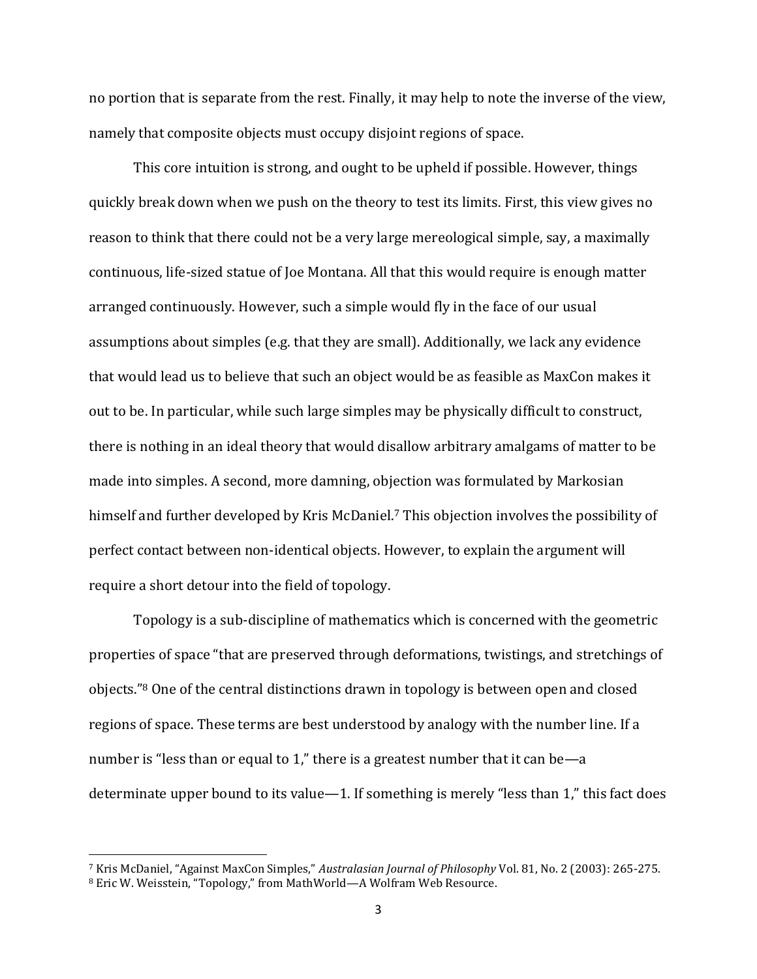no portion that is separate from the rest. Finally, it may help to note the inverse of the view, namely that composite objects must occupy disjoint regions of space.

This core intuition is strong, and ought to be upheld if possible. However, things quickly break down when we push on the theory to test its limits. First, this view gives no reason to think that there could not be a very large mereological simple, say, a maximally continuous, life-sized statue of Joe Montana. All that this would require is enough matter arranged continuously. However, such a simple would fly in the face of our usual assumptions about simples (e.g. that they are small). Additionally, we lack any evidence that would lead us to believe that such an object would be as feasible as MaxCon makes it out to be. In particular, while such large simples may be physically difficult to construct, there is nothing in an ideal theory that would disallow arbitrary amalgams of matter to be made into simples. A second, more damning, objection was formulated by Markosian himself and further developed by Kris McDaniel. <sup>7</sup> This objection involves the possibility of perfect contact between non-identical objects. However, to explain the argument will require a short detour into the field of topology.

Topology is a sub-discipline of mathematics which is concerned with the geometric properties of space "that are preserved through deformations, twistings, and stretchings of objects."<sup>8</sup> One of the central distinctions drawn in topology is between open and closed regions of space. These terms are best understood by analogy with the number line. If a number is "less than or equal to 1," there is a greatest number that it can be—a determinate upper bound to its value—1. If something is merely "less than 1," this fact does

<sup>7</sup> Kris McDaniel, "Against MaxCon Simples," *Australasian Journal of Philosophy* Vol. 81, No. 2 (2003): 265-275. <sup>8</sup> Eric W. Weisstein, "Topology," from MathWorld—A Wolfram Web Resource.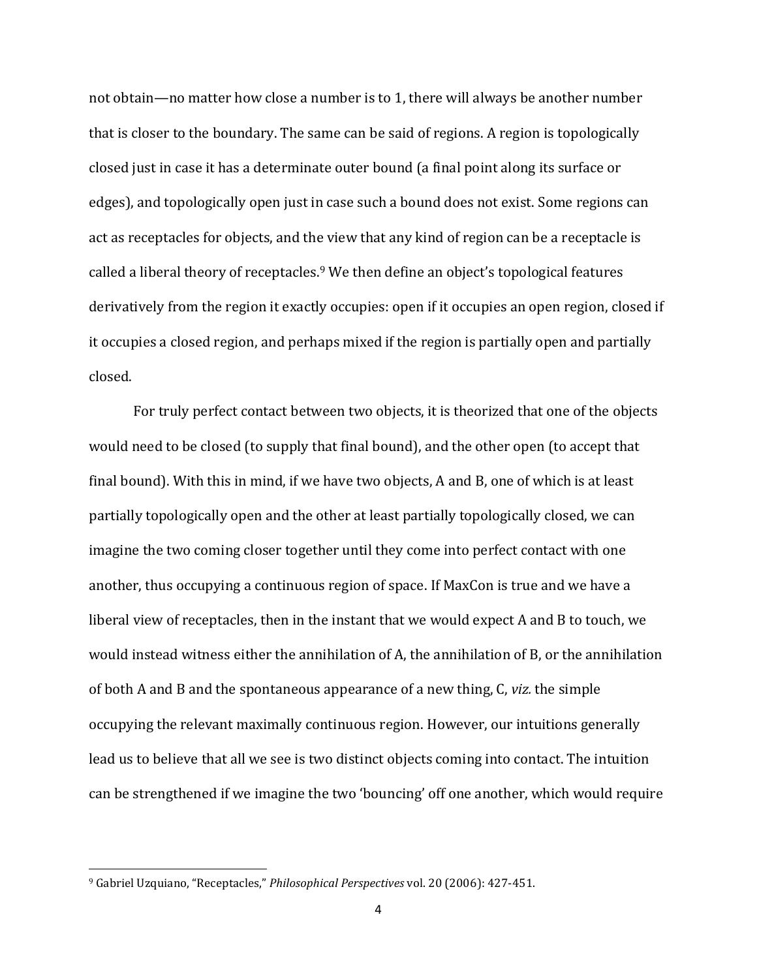not obtain—no matter how close a number is to 1, there will always be another number that is closer to the boundary. The same can be said of regions. A region is topologically closed just in case it has a determinate outer bound (a final point along its surface or edges), and topologically open just in case such a bound does not exist. Some regions can act as receptacles for objects, and the view that any kind of region can be a receptacle is called a liberal theory of receptacles. <sup>9</sup> We then define an object's topological features derivatively from the region it exactly occupies: open if it occupies an open region, closed if it occupies a closed region, and perhaps mixed if the region is partially open and partially closed.

For truly perfect contact between two objects, it is theorized that one of the objects would need to be closed (to supply that final bound), and the other open (to accept that final bound). With this in mind, if we have two objects, A and B, one of which is at least partially topologically open and the other at least partially topologically closed, we can imagine the two coming closer together until they come into perfect contact with one another, thus occupying a continuous region of space. If MaxCon is true and we have a liberal view of receptacles, then in the instant that we would expect A and B to touch, we would instead witness either the annihilation of A, the annihilation of B, or the annihilation of both A and B and the spontaneous appearance of a new thing, C, *viz.* the simple occupying the relevant maximally continuous region. However, our intuitions generally lead us to believe that all we see is two distinct objects coming into contact. The intuition can be strengthened if we imagine the two 'bouncing' off one another, which would require

<sup>9</sup> Gabriel Uzquiano, "Receptacles," *Philosophical Perspectives* vol. 20 (2006): 427-451.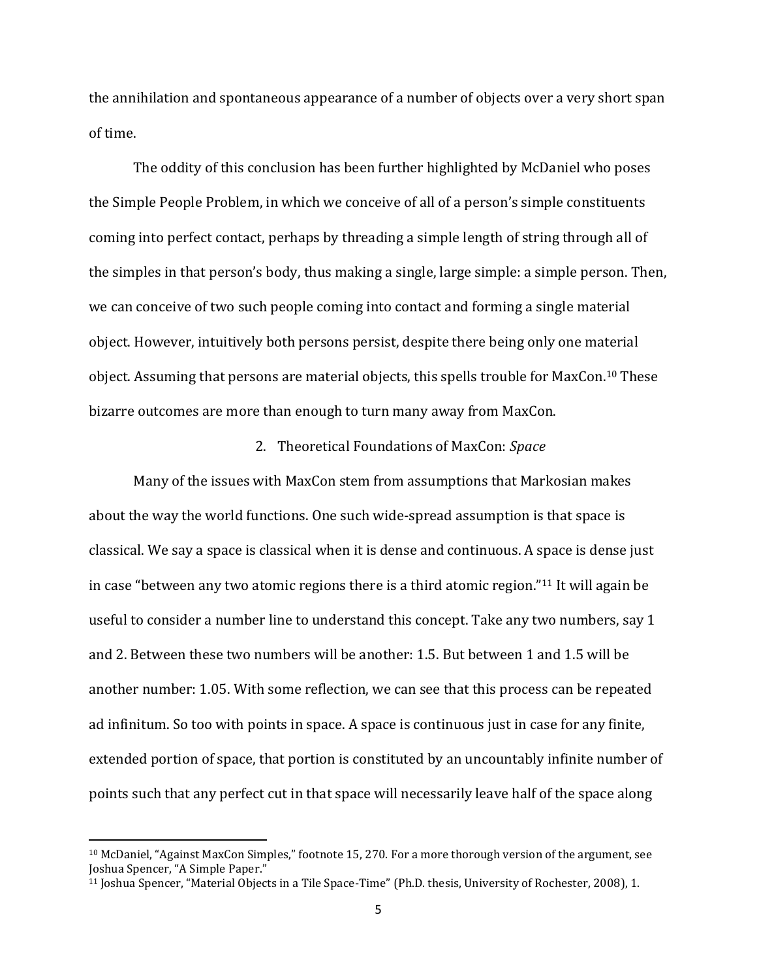the annihilation and spontaneous appearance of a number of objects over a very short span of time.

The oddity of this conclusion has been further highlighted by McDaniel who poses the Simple People Problem, in which we conceive of all of a person's simple constituents coming into perfect contact, perhaps by threading a simple length of string through all of the simples in that person's body, thus making a single, large simple: a simple person. Then, we can conceive of two such people coming into contact and forming a single material object. However, intuitively both persons persist, despite there being only one material object. Assuming that persons are material objects, this spells trouble for MaxCon. <sup>10</sup> These bizarre outcomes are more than enough to turn many away from MaxCon.

#### 2. Theoretical Foundations of MaxCon: *Space*

Many of the issues with MaxCon stem from assumptions that Markosian makes about the way the world functions. One such wide-spread assumption is that space is classical. We say a space is classical when it is dense and continuous. A space is dense just in case "between any two atomic regions there is a third atomic region."<sup>11</sup> It will again be useful to consider a number line to understand this concept. Take any two numbers, say 1 and 2. Between these two numbers will be another: 1.5. But between 1 and 1.5 will be another number: 1.05. With some reflection, we can see that this process can be repeated ad infinitum. So too with points in space. A space is continuous just in case for any finite, extended portion of space, that portion is constituted by an uncountably infinite number of points such that any perfect cut in that space will necessarily leave half of the space along

 $\overline{\phantom{a}}$ 

<sup>10</sup> McDaniel, "Against MaxCon Simples," footnote 15, 270. For a more thorough version of the argument, see Joshua Spencer, "A Simple Paper."

<sup>11</sup> Joshua Spencer, "Material Objects in a Tile Space-Time" (Ph.D. thesis, University of Rochester, 2008), 1.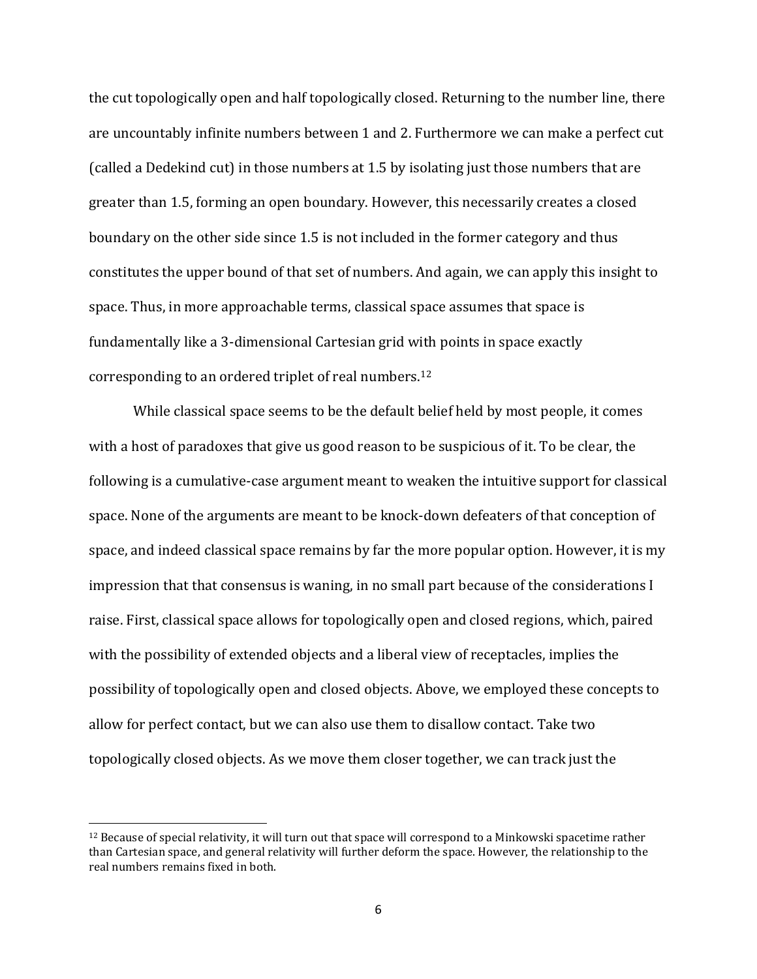the cut topologically open and half topologically closed. Returning to the number line, there are uncountably infinite numbers between 1 and 2. Furthermore we can make a perfect cut (called a Dedekind cut) in those numbers at 1.5 by isolating just those numbers that are greater than 1.5, forming an open boundary. However, this necessarily creates a closed boundary on the other side since 1.5 is not included in the former category and thus constitutes the upper bound of that set of numbers. And again, we can apply this insight to space. Thus, in more approachable terms, classical space assumes that space is fundamentally like a 3-dimensional Cartesian grid with points in space exactly corresponding to an ordered triplet of real numbers. 12

While classical space seems to be the default belief held by most people, it comes with a host of paradoxes that give us good reason to be suspicious of it. To be clear, the following is a cumulative-case argument meant to weaken the intuitive support for classical space. None of the arguments are meant to be knock-down defeaters of that conception of space, and indeed classical space remains by far the more popular option. However, it is my impression that that consensus is waning, in no small part because of the considerations I raise. First, classical space allows for topologically open and closed regions, which, paired with the possibility of extended objects and a liberal view of receptacles, implies the possibility of topologically open and closed objects. Above, we employed these concepts to allow for perfect contact, but we can also use them to disallow contact. Take two topologically closed objects. As we move them closer together, we can track just the

 $12$  Because of special relativity, it will turn out that space will correspond to a Minkowski spacetime rather than Cartesian space, and general relativity will further deform the space. However, the relationship to the real numbers remains fixed in both.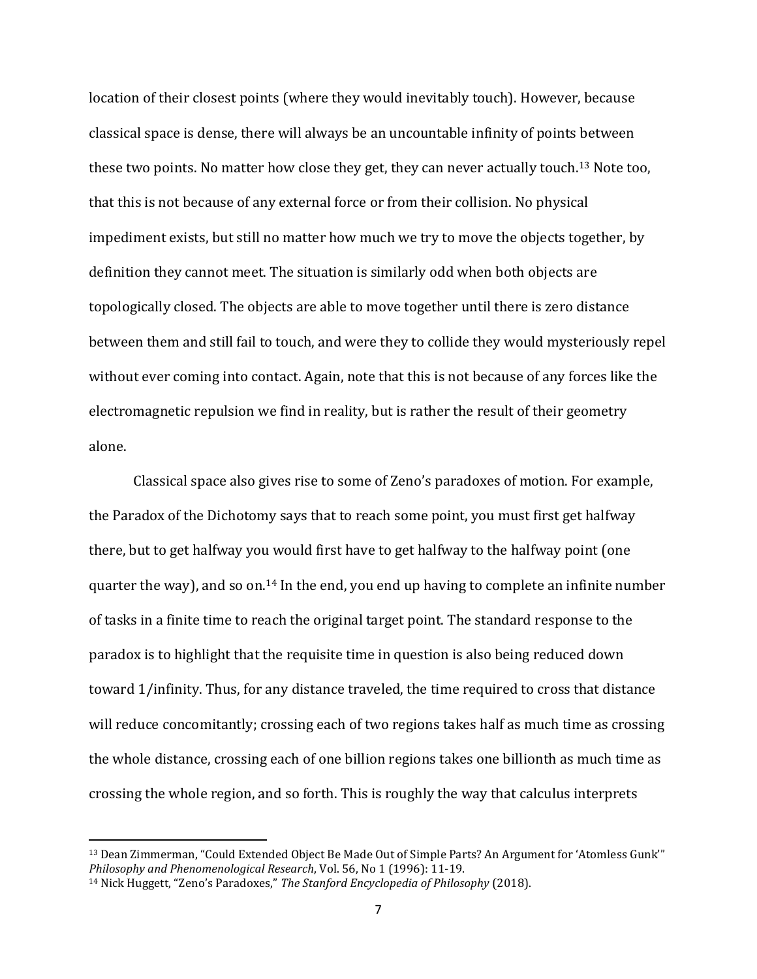location of their closest points (where they would inevitably touch). However, because classical space is dense, there will always be an uncountable infinity of points between these two points. No matter how close they get, they can never actually touch.<sup>13</sup> Note too, that this is not because of any external force or from their collision. No physical impediment exists, but still no matter how much we try to move the objects together, by definition they cannot meet. The situation is similarly odd when both objects are topologically closed. The objects are able to move together until there is zero distance between them and still fail to touch, and were they to collide they would mysteriously repel without ever coming into contact. Again, note that this is not because of any forces like the electromagnetic repulsion we find in reality, but is rather the result of their geometry alone.

Classical space also gives rise to some of Zeno's paradoxes of motion. For example, the Paradox of the Dichotomy says that to reach some point, you must first get halfway there, but to get halfway you would first have to get halfway to the halfway point (one quarter the way), and so on.<sup>14</sup> In the end, you end up having to complete an infinite number of tasks in a finite time to reach the original target point. The standard response to the paradox is to highlight that the requisite time in question is also being reduced down toward 1/infinity. Thus, for any distance traveled, the time required to cross that distance will reduce concomitantly; crossing each of two regions takes half as much time as crossing the whole distance, crossing each of one billion regions takes one billionth as much time as crossing the whole region, and so forth. This is roughly the way that calculus interprets

 $\overline{\phantom{a}}$ 

<sup>13</sup> Dean Zimmerman, "Could Extended Object Be Made Out of Simple Parts? An Argument for 'Atomless Gunk'" *Philosophy and Phenomenological Research*, Vol. 56, No 1 (1996): 11-19.

<sup>14</sup> Nick Huggett, "Zeno's Paradoxes," *The Stanford Encyclopedia of Philosophy* (2018).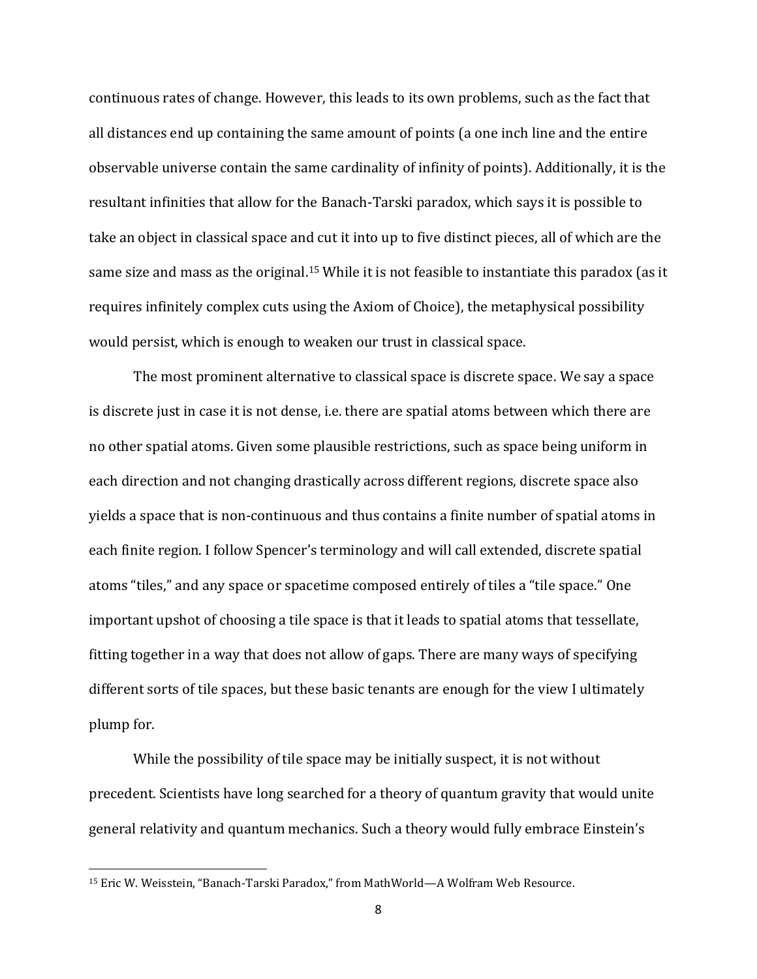continuous rates of change. However, this leads to its own problems, such as the fact that all distances end up containing the same amount of points (a one inch line and the entire observable universe contain the same cardinality of infinity of points). Additionally, it is the resultant infinities that allow for the Banach-Tarski paradox, which says it is possible to take an object in classical space and cut it into up to five distinct pieces, all of which are the same size and mass as the original.<sup>15</sup> While it is not feasible to instantiate this paradox (as it requires infinitely complex cuts using the Axiom of Choice), the metaphysical possibility would persist, which is enough to weaken our trust in classical space.

The most prominent alternative to classical space is discrete space. We say a space is discrete just in case it is not dense, i.e. there are spatial atoms between which there are no other spatial atoms. Given some plausible restrictions, such as space being uniform in each direction and not changing drastically across different regions, discrete space also yields a space that is non-continuous and thus contains a finite number of spatial atoms in each finite region. I follow Spencer's terminology and will call extended, discrete spatial atoms "tiles," and any space or spacetime composed entirely of tiles a "tile space." One important upshot of choosing a tile space is that it leads to spatial atoms that tessellate, fitting together in a way that does not allow of gaps. There are many ways of specifying different sorts of tile spaces, but these basic tenants are enough for the view I ultimately plump for.

While the possibility of tile space may be initially suspect, it is not without precedent. Scientists have long searched for a theory of quantum gravity that would unite general relativity and quantum mechanics. Such a theory would fully embrace Einstein's

<sup>15</sup> Eric W. Weisstein, "Banach-Tarski Paradox," from MathWorld—A Wolfram Web Resource.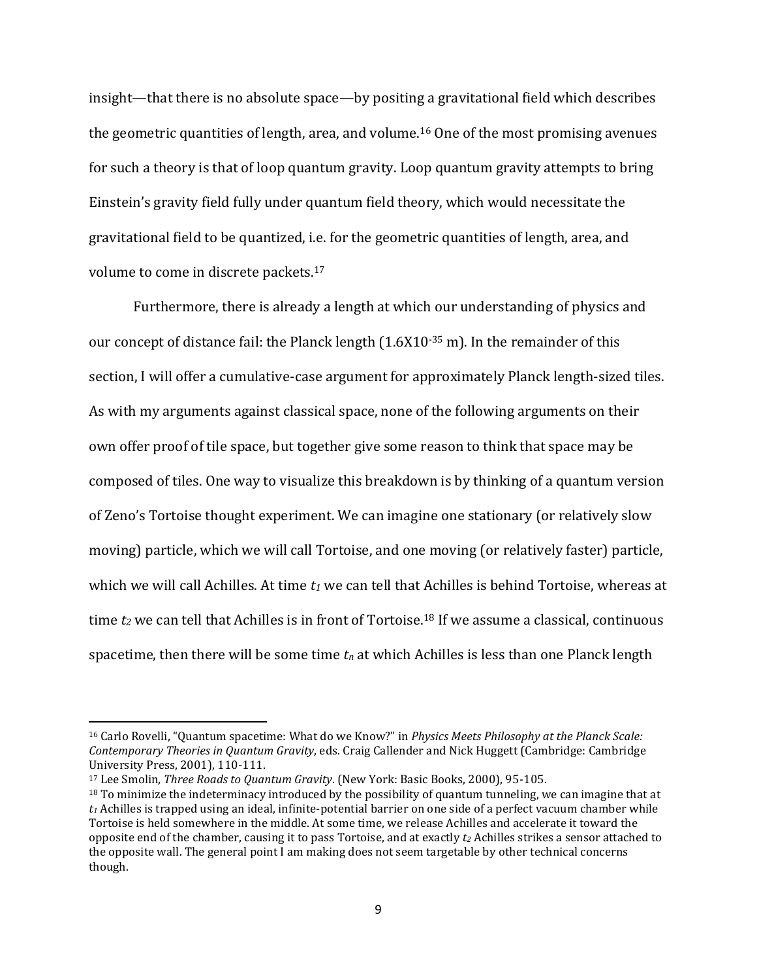insight—that there is no absolute space—by positing a gravitational field which describes the geometric quantities of length, area, and volume.<sup>16</sup> One of the most promising avenues for such a theory is that of loop quantum gravity. Loop quantum gravity attempts to bring Einstein's gravity field fully under quantum field theory, which would necessitate the gravitational field to be quantized, i.e. for the geometric quantities of length, area, and volume to come in discrete packets.<sup>17</sup>

Furthermore, there is already a length at which our understanding of physics and our concept of distance fail: the Planck length (1.6X10-35 m). In the remainder of this section, I will offer a cumulative-case argument for approximately Planck length-sized tiles. As with my arguments against classical space, none of the following arguments on their own offer proof of tile space, but together give some reason to think that space may be composed of tiles. One way to visualize this breakdown is by thinking of a quantum version of Zeno's Tortoise thought experiment. We can imagine one stationary (or relatively slow moving) particle, which we will call Tortoise, and one moving (or relatively faster) particle, which we will call Achilles. At time *t<sup>1</sup>* we can tell that Achilles is behind Tortoise, whereas at time *t<sup>2</sup>* we can tell that Achilles is in front of Tortoise.<sup>18</sup> If we assume a classical, continuous spacetime, then there will be some time  $t_n$  at which Achilles is less than one Planck length

<sup>16</sup> Carlo Rovelli, "Quantum spacetime: What do we Know?" in *Physics Meets Philosophy at the Planck Scale: Contemporary Theories in Quantum Gravity*, eds. Craig Callender and Nick Huggett (Cambridge: Cambridge University Press, 2001), 110-111.

<sup>17</sup> Lee Smolin, *Three Roads to Quantum Gravity*. (New York: Basic Books, 2000), 95-105.

 $18$  To minimize the indeterminacy introduced by the possibility of quantum tunneling, we can imagine that at  $t_1$  Achilles is trapped using an ideal, infinite-potential barrier on one side of a perfect vacuum chamber while Tortoise is held somewhere in the middle. At some time, we release Achilles and accelerate it toward the opposite end of the chamber, causing it to pass Tortoise, and at exactly *t<sup>2</sup>* Achilles strikes a sensor attached to the opposite wall. The general point I am making does not seem targetable by other technical concerns though.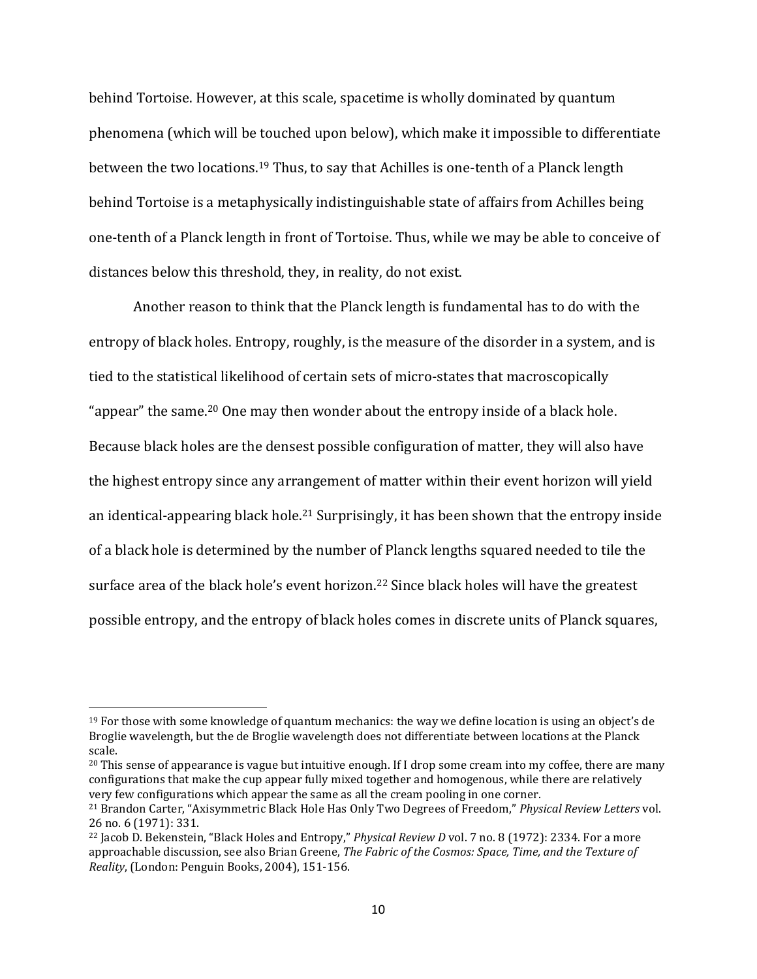behind Tortoise. However, at this scale, spacetime is wholly dominated by quantum phenomena (which will be touched upon below), which make it impossible to differentiate between the two locations.<sup>19</sup> Thus, to say that Achilles is one-tenth of a Planck length behind Tortoise is a metaphysically indistinguishable state of affairs from Achilles being one-tenth of a Planck length in front of Tortoise. Thus, while we may be able to conceive of distances below this threshold, they, in reality, do not exist.

Another reason to think that the Planck length is fundamental has to do with the entropy of black holes. Entropy, roughly, is the measure of the disorder in a system, and is tied to the statistical likelihood of certain sets of micro-states that macroscopically "appear" the same.<sup>20</sup> One may then wonder about the entropy inside of a black hole. Because black holes are the densest possible configuration of matter, they will also have the highest entropy since any arrangement of matter within their event horizon will yield an identical-appearing black hole.<sup>21</sup> Surprisingly, it has been shown that the entropy inside of a black hole is determined by the number of Planck lengths squared needed to tile the surface area of the black hole's event horizon.<sup>22</sup> Since black holes will have the greatest possible entropy, and the entropy of black holes comes in discrete units of Planck squares,

 $\overline{\phantom{a}}$ 

 $19$  For those with some knowledge of quantum mechanics: the way we define location is using an object's de Broglie wavelength, but the de Broglie wavelength does not differentiate between locations at the Planck scale.

<sup>&</sup>lt;sup>20</sup> This sense of appearance is vague but intuitive enough. If I drop some cream into my coffee, there are many configurations that make the cup appear fully mixed together and homogenous, while there are relatively very few configurations which appear the same as all the cream pooling in one corner.

<sup>21</sup> Brandon Carter, "Axisymmetric Black Hole Has Only Two Degrees of Freedom," *Physical Review Letters* vol. 26 no. 6 (1971): 331.

<sup>22</sup> Jacob D. Bekenstein, "Black Holes and Entropy," *Physical Review D* vol. 7 no. 8 (1972): 2334. For a more approachable discussion, see also Brian Greene, *The Fabric of the Cosmos: Space, Time, and the Texture of Reality*, (London: Penguin Books, 2004), 151-156.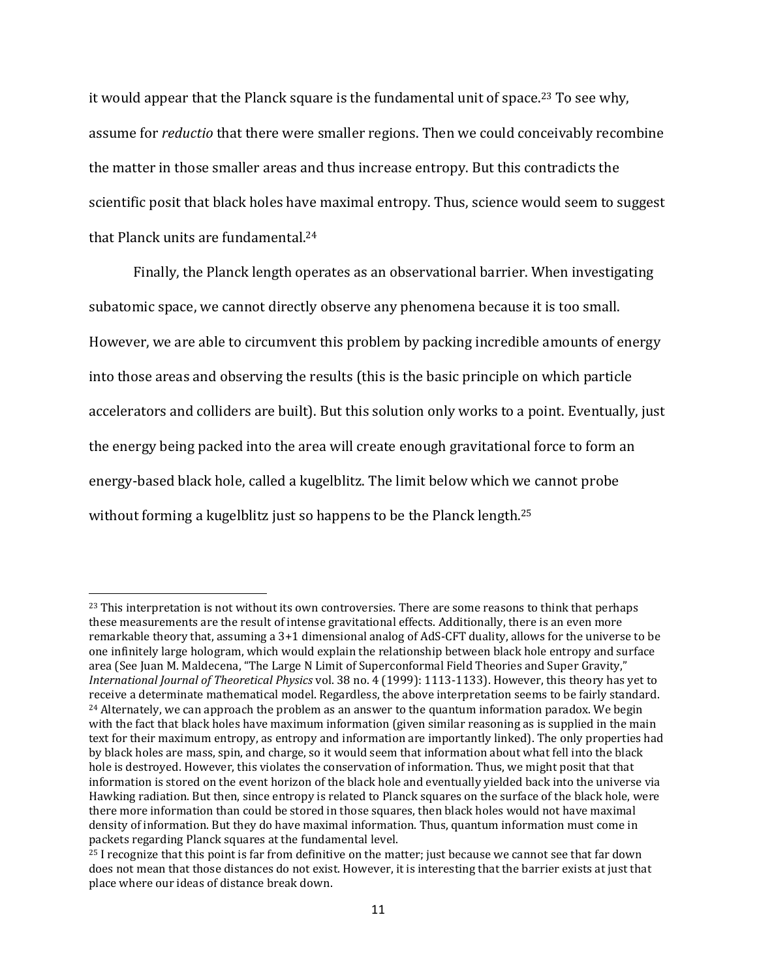it would appear that the Planck square is the fundamental unit of space.<sup>23</sup> To see why, assume for *reductio* that there were smaller regions. Then we could conceivably recombine the matter in those smaller areas and thus increase entropy. But this contradicts the scientific posit that black holes have maximal entropy. Thus, science would seem to suggest that Planck units are fundamental.<sup>24</sup>

Finally, the Planck length operates as an observational barrier. When investigating subatomic space, we cannot directly observe any phenomena because it is too small. However, we are able to circumvent this problem by packing incredible amounts of energy into those areas and observing the results (this is the basic principle on which particle accelerators and colliders are built). But this solution only works to a point. Eventually, just the energy being packed into the area will create enough gravitational force to form an energy-based black hole, called a kugelblitz. The limit below which we cannot probe without forming a kugelblitz just so happens to be the Planck length.<sup>25</sup>

l

 $23$  This interpretation is not without its own controversies. There are some reasons to think that perhaps these measurements are the result of intense gravitational effects. Additionally, there is an even more remarkable theory that, assuming a 3+1 dimensional analog of AdS-CFT duality, allows for the universe to be one infinitely large hologram, which would explain the relationship between black hole entropy and surface area (See Juan M. Maldecena, "The Large N Limit of Superconformal Field Theories and Super Gravity," *International Journal of Theoretical Physics* vol. 38 no. 4 (1999): 1113-1133). However, this theory has yet to receive a determinate mathematical model. Regardless, the above interpretation seems to be fairly standard.  $24$  Alternately, we can approach the problem as an answer to the quantum information paradox. We begin with the fact that black holes have maximum information (given similar reasoning as is supplied in the main text for their maximum entropy, as entropy and information are importantly linked). The only properties had by black holes are mass, spin, and charge, so it would seem that information about what fell into the black hole is destroyed. However, this violates the conservation of information. Thus, we might posit that that information is stored on the event horizon of the black hole and eventually yielded back into the universe via Hawking radiation. But then, since entropy is related to Planck squares on the surface of the black hole, were there more information than could be stored in those squares, then black holes would not have maximal density of information. But they do have maximal information. Thus, quantum information must come in packets regarding Planck squares at the fundamental level.

<sup>&</sup>lt;sup>25</sup> I recognize that this point is far from definitive on the matter; just because we cannot see that far down does not mean that those distances do not exist. However, it is interesting that the barrier exists at just that place where our ideas of distance break down.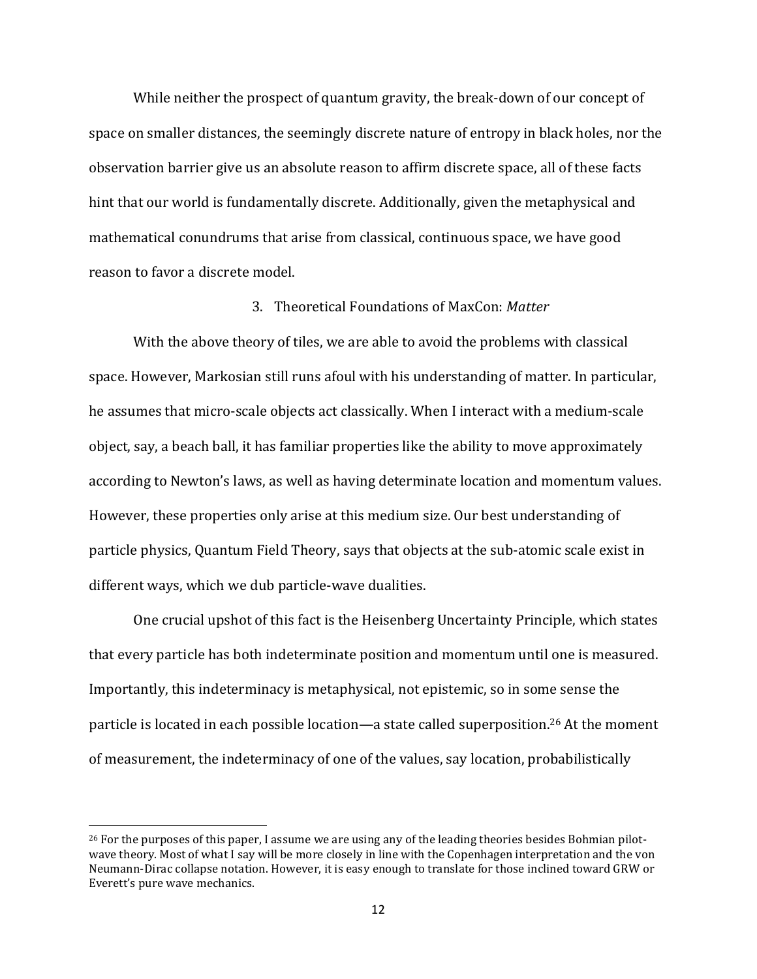While neither the prospect of quantum gravity, the break-down of our concept of space on smaller distances, the seemingly discrete nature of entropy in black holes, nor the observation barrier give us an absolute reason to affirm discrete space, all of these facts hint that our world is fundamentally discrete. Additionally, given the metaphysical and mathematical conundrums that arise from classical, continuous space, we have good reason to favor a discrete model.

#### 3. Theoretical Foundations of MaxCon: *Matter*

With the above theory of tiles, we are able to avoid the problems with classical space. However, Markosian still runs afoul with his understanding of matter. In particular, he assumes that micro-scale objects act classically. When I interact with a medium-scale object, say, a beach ball, it has familiar properties like the ability to move approximately according to Newton's laws, as well as having determinate location and momentum values. However, these properties only arise at this medium size. Our best understanding of particle physics, Quantum Field Theory, says that objects at the sub-atomic scale exist in different ways, which we dub particle-wave dualities.

One crucial upshot of this fact is the Heisenberg Uncertainty Principle, which states that every particle has both indeterminate position and momentum until one is measured. Importantly, this indeterminacy is metaphysical, not epistemic, so in some sense the particle is located in each possible location—a state called superposition.<sup>26</sup> At the moment of measurement, the indeterminacy of one of the values, say location, probabilistically

 $\overline{\phantom{a}}$ 

<sup>&</sup>lt;sup>26</sup> For the purposes of this paper, I assume we are using any of the leading theories besides Bohmian pilotwave theory. Most of what I say will be more closely in line with the Copenhagen interpretation and the von Neumann-Dirac collapse notation. However, it is easy enough to translate for those inclined toward GRW or Everett's pure wave mechanics.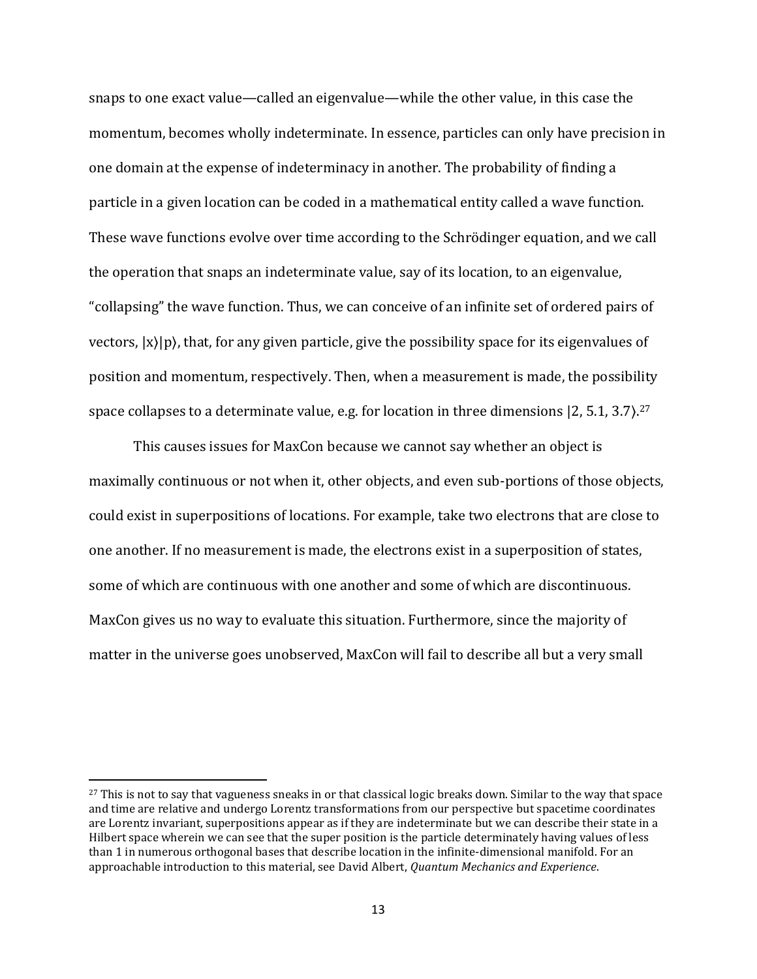snaps to one exact value—called an eigenvalue—while the other value, in this case the momentum, becomes wholly indeterminate. In essence, particles can only have precision in one domain at the expense of indeterminacy in another. The probability of finding a particle in a given location can be coded in a mathematical entity called a wave function. These wave functions evolve over time according to the Schrödinger equation, and we call the operation that snaps an indeterminate value, say of its location, to an eigenvalue, "collapsing" the wave function. Thus, we can conceive of an infinite set of ordered pairs of vectors,  $|x\rangle|p\rangle$ , that, for any given particle, give the possibility space for its eigenvalues of position and momentum, respectively. Then, when a measurement is made, the possibility space collapses to a determinate value, e.g. for location in three dimensions [2, 5.1, 3.7).<sup>27</sup>

This causes issues for MaxCon because we cannot say whether an object is maximally continuous or not when it, other objects, and even sub-portions of those objects, could exist in superpositions of locations. For example, take two electrons that are close to one another. If no measurement is made, the electrons exist in a superposition of states, some of which are continuous with one another and some of which are discontinuous. MaxCon gives us no way to evaluate this situation. Furthermore, since the majority of matter in the universe goes unobserved, MaxCon will fail to describe all but a very small

l

<sup>&</sup>lt;sup>27</sup> This is not to say that vagueness sneaks in or that classical logic breaks down. Similar to the way that space and time are relative and undergo Lorentz transformations from our perspective but spacetime coordinates are Lorentz invariant, superpositions appear as if they are indeterminate but we can describe their state in a Hilbert space wherein we can see that the super position is the particle determinately having values of less than 1 in numerous orthogonal bases that describe location in the infinite-dimensional manifold. For an approachable introduction to this material, see David Albert, *Quantum Mechanics and Experience*.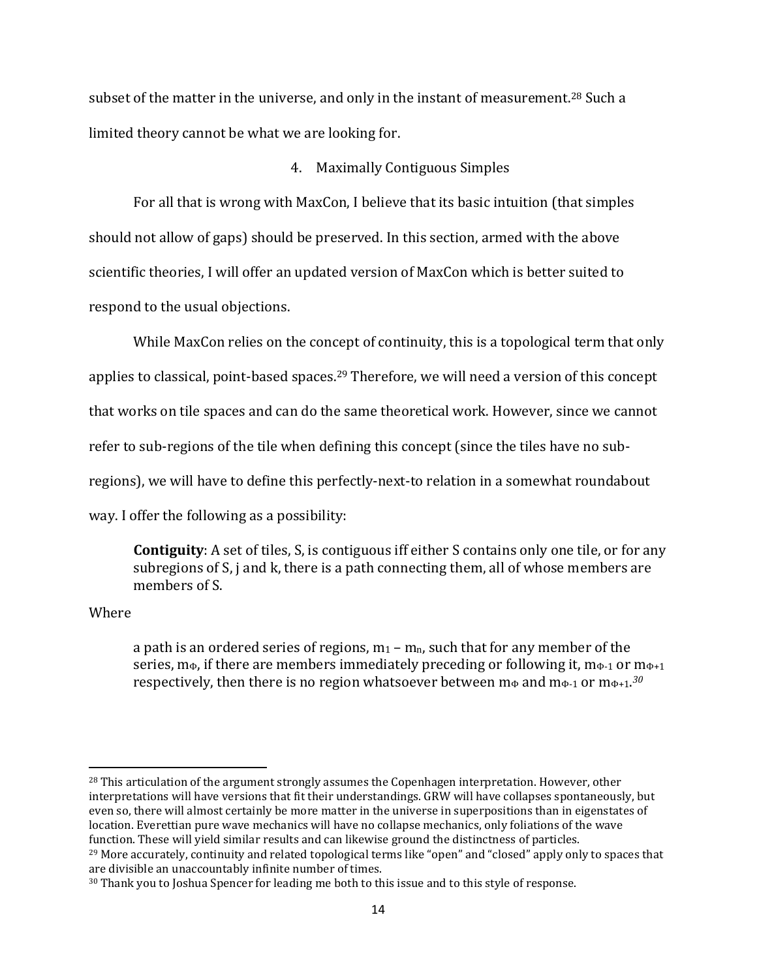subset of the matter in the universe, and only in the instant of measurement.<sup>28</sup> Such a limited theory cannot be what we are looking for.

#### 4. Maximally Contiguous Simples

For all that is wrong with MaxCon, I believe that its basic intuition (that simples should not allow of gaps) should be preserved. In this section, armed with the above scientific theories, I will offer an updated version of MaxCon which is better suited to respond to the usual objections.

While MaxCon relies on the concept of continuity, this is a topological term that only applies to classical, point-based spaces.<sup>29</sup> Therefore, we will need a version of this concept that works on tile spaces and can do the same theoretical work. However, since we cannot refer to sub-regions of the tile when defining this concept (since the tiles have no subregions), we will have to define this perfectly-next-to relation in a somewhat roundabout way. I offer the following as a possibility:

**Contiguity**: A set of tiles, S, is contiguous iff either S contains only one tile, or for any subregions of S, j and k, there is a path connecting them, all of whose members are members of S.

Where

l

a path is an ordered series of regions,  $m_1 - m_n$ , such that for any member of the series,  $m_{\Phi}$ , if there are members immediately preceding or following it,  $m_{\Phi-1}$  or  $m_{\Phi+1}$ respectively, then there is no region whatsoever between m⊕ and m⊕-1 or m⊕+1.<sup>30</sup>

<sup>&</sup>lt;sup>28</sup> This articulation of the argument strongly assumes the Copenhagen interpretation. However, other interpretations will have versions that fit their understandings. GRW will have collapses spontaneously, but even so, there will almost certainly be more matter in the universe in superpositions than in eigenstates of location. Everettian pure wave mechanics will have no collapse mechanics, only foliations of the wave function. These will yield similar results and can likewise ground the distinctness of particles.

<sup>&</sup>lt;sup>29</sup> More accurately, continuity and related topological terms like "open" and "closed" apply only to spaces that are divisible an unaccountably infinite number of times.

<sup>&</sup>lt;sup>30</sup> Thank you to Joshua Spencer for leading me both to this issue and to this style of response.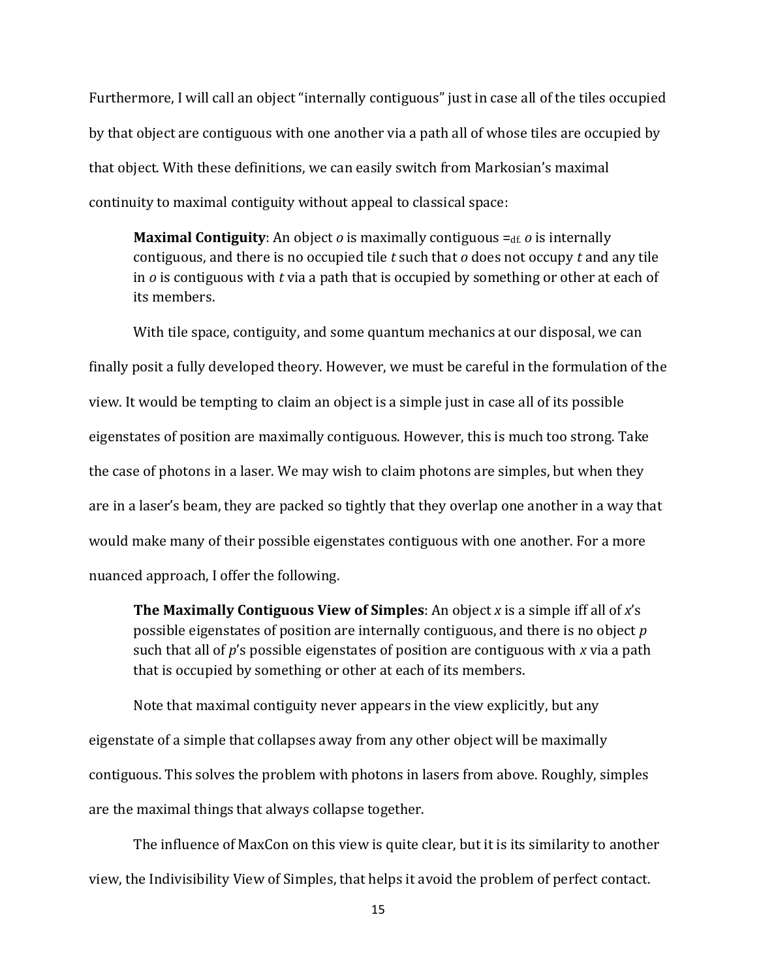Furthermore, I will call an object "internally contiguous" just in case all of the tiles occupied by that object are contiguous with one another via a path all of whose tiles are occupied by that object. With these definitions, we can easily switch from Markosian's maximal continuity to maximal contiguity without appeal to classical space:

**Maximal Contiguity:** An object *o* is maximally contiguous = df. *o* is internally contiguous, and there is no occupied tile *t* such that *o* does not occupy *t* and any tile in *o* is contiguous with *t* via a path that is occupied by something or other at each of its members.

With tile space, contiguity, and some quantum mechanics at our disposal, we can finally posit a fully developed theory. However, we must be careful in the formulation of the view. It would be tempting to claim an object is a simple just in case all of its possible eigenstates of position are maximally contiguous. However, this is much too strong. Take the case of photons in a laser. We may wish to claim photons are simples, but when they are in a laser's beam, they are packed so tightly that they overlap one another in a way that would make many of their possible eigenstates contiguous with one another. For a more nuanced approach, I offer the following.

**The Maximally Contiguous View of Simples**: An object *x* is a simple iff all of *x*'s possible eigenstates of position are internally contiguous, and there is no object *p* such that all of *p*'s possible eigenstates of position are contiguous with *x* via a path that is occupied by something or other at each of its members.

Note that maximal contiguity never appears in the view explicitly, but any eigenstate of a simple that collapses away from any other object will be maximally contiguous. This solves the problem with photons in lasers from above. Roughly, simples are the maximal things that always collapse together.

The influence of MaxCon on this view is quite clear, but it is its similarity to another view, the Indivisibility View of Simples, that helps it avoid the problem of perfect contact.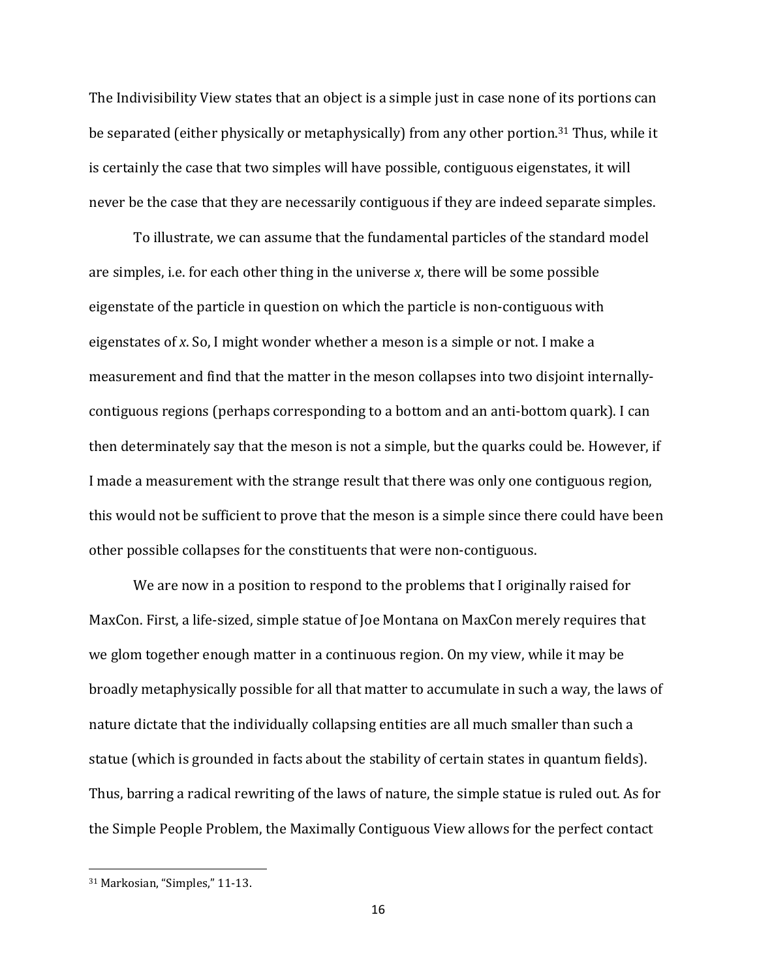The Indivisibility View states that an object is a simple just in case none of its portions can be separated (either physically or metaphysically) from any other portion.<sup>31</sup> Thus, while it is certainly the case that two simples will have possible, contiguous eigenstates, it will never be the case that they are necessarily contiguous if they are indeed separate simples.

To illustrate, we can assume that the fundamental particles of the standard model are simples, i.e. for each other thing in the universe *x*, there will be some possible eigenstate of the particle in question on which the particle is non-contiguous with eigenstates of *x*. So, I might wonder whether a meson is a simple or not. I make a measurement and find that the matter in the meson collapses into two disjoint internallycontiguous regions (perhaps corresponding to a bottom and an anti-bottom quark). I can then determinately say that the meson is not a simple, but the quarks could be. However, if I made a measurement with the strange result that there was only one contiguous region, this would not be sufficient to prove that the meson is a simple since there could have been other possible collapses for the constituents that were non-contiguous.

We are now in a position to respond to the problems that I originally raised for MaxCon. First, a life-sized, simple statue of Joe Montana on MaxCon merely requires that we glom together enough matter in a continuous region. On my view, while it may be broadly metaphysically possible for all that matter to accumulate in such a way, the laws of nature dictate that the individually collapsing entities are all much smaller than such a statue (which is grounded in facts about the stability of certain states in quantum fields). Thus, barring a radical rewriting of the laws of nature, the simple statue is ruled out. As for the Simple People Problem, the Maximally Contiguous View allows for the perfect contact

<sup>31</sup> Markosian, "Simples," 11-13.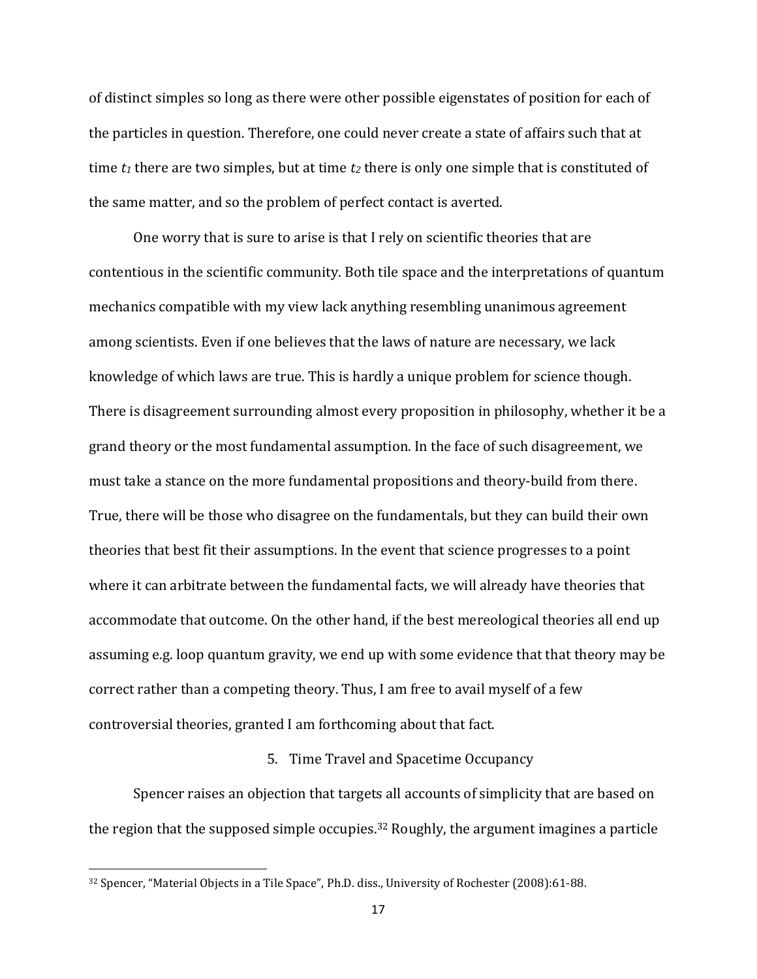of distinct simples so long as there were other possible eigenstates of position for each of the particles in question. Therefore, one could never create a state of affairs such that at time *t<sup>1</sup>* there are two simples, but at time *t<sup>2</sup>* there is only one simple that is constituted of the same matter, and so the problem of perfect contact is averted.

One worry that is sure to arise is that I rely on scientific theories that are contentious in the scientific community. Both tile space and the interpretations of quantum mechanics compatible with my view lack anything resembling unanimous agreement among scientists. Even if one believes that the laws of nature are necessary, we lack knowledge of which laws are true. This is hardly a unique problem for science though. There is disagreement surrounding almost every proposition in philosophy, whether it be a grand theory or the most fundamental assumption. In the face of such disagreement, we must take a stance on the more fundamental propositions and theory-build from there. True, there will be those who disagree on the fundamentals, but they can build their own theories that best fit their assumptions. In the event that science progresses to a point where it can arbitrate between the fundamental facts, we will already have theories that accommodate that outcome. On the other hand, if the best mereological theories all end up assuming e.g. loop quantum gravity, we end up with some evidence that that theory may be correct rather than a competing theory. Thus, I am free to avail myself of a few controversial theories, granted I am forthcoming about that fact.

#### 5. Time Travel and Spacetime Occupancy

Spencer raises an objection that targets all accounts of simplicity that are based on the region that the supposed simple occupies.<sup>32</sup> Roughly, the argument imagines a particle

<sup>32</sup> Spencer, "Material Objects in a Tile Space", Ph.D. diss., University of Rochester (2008):61-88.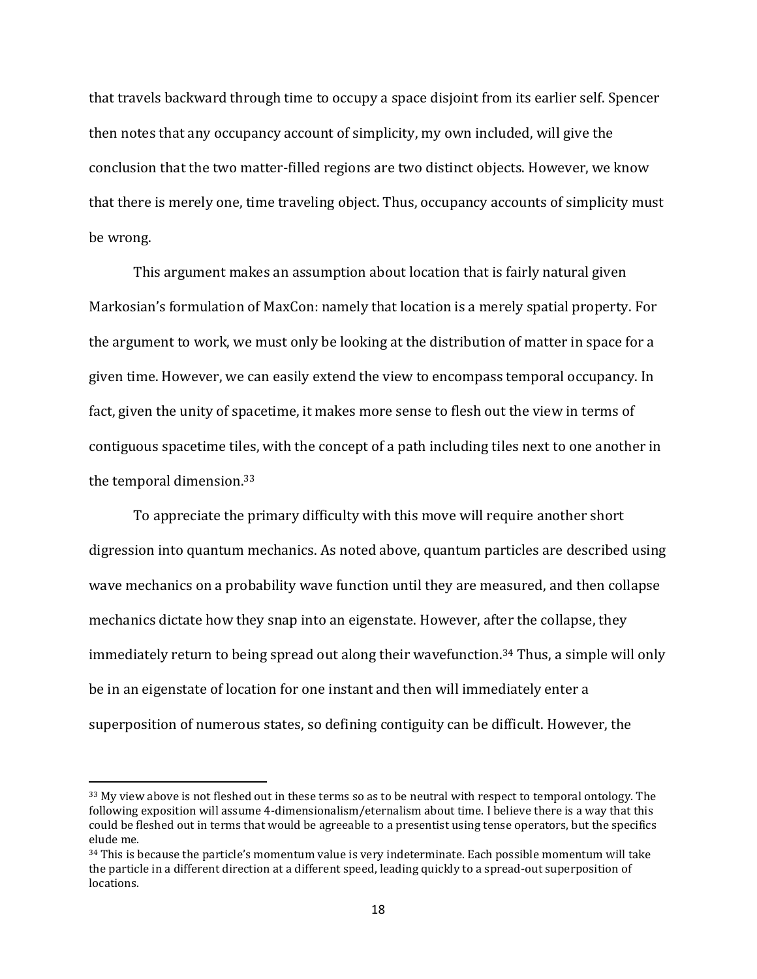that travels backward through time to occupy a space disjoint from its earlier self. Spencer then notes that any occupancy account of simplicity, my own included, will give the conclusion that the two matter-filled regions are two distinct objects. However, we know that there is merely one, time traveling object. Thus, occupancy accounts of simplicity must be wrong.

This argument makes an assumption about location that is fairly natural given Markosian's formulation of MaxCon: namely that location is a merely spatial property. For the argument to work, we must only be looking at the distribution of matter in space for a given time. However, we can easily extend the view to encompass temporal occupancy. In fact, given the unity of spacetime, it makes more sense to flesh out the view in terms of contiguous spacetime tiles, with the concept of a path including tiles next to one another in the temporal dimension.<sup>33</sup>

To appreciate the primary difficulty with this move will require another short digression into quantum mechanics. As noted above, quantum particles are described using wave mechanics on a probability wave function until they are measured, and then collapse mechanics dictate how they snap into an eigenstate. However, after the collapse, they immediately return to being spread out along their wavefunction.<sup>34</sup> Thus, a simple will only be in an eigenstate of location for one instant and then will immediately enter a superposition of numerous states, so defining contiguity can be difficult. However, the

 $\overline{\phantom{a}}$ 

<sup>&</sup>lt;sup>33</sup> My view above is not fleshed out in these terms so as to be neutral with respect to temporal ontology. The following exposition will assume 4-dimensionalism/eternalism about time. I believe there is a way that this could be fleshed out in terms that would be agreeable to a presentist using tense operators, but the specifics elude me.

<sup>&</sup>lt;sup>34</sup> This is because the particle's momentum value is very indeterminate. Each possible momentum will take the particle in a different direction at a different speed, leading quickly to a spread-out superposition of locations.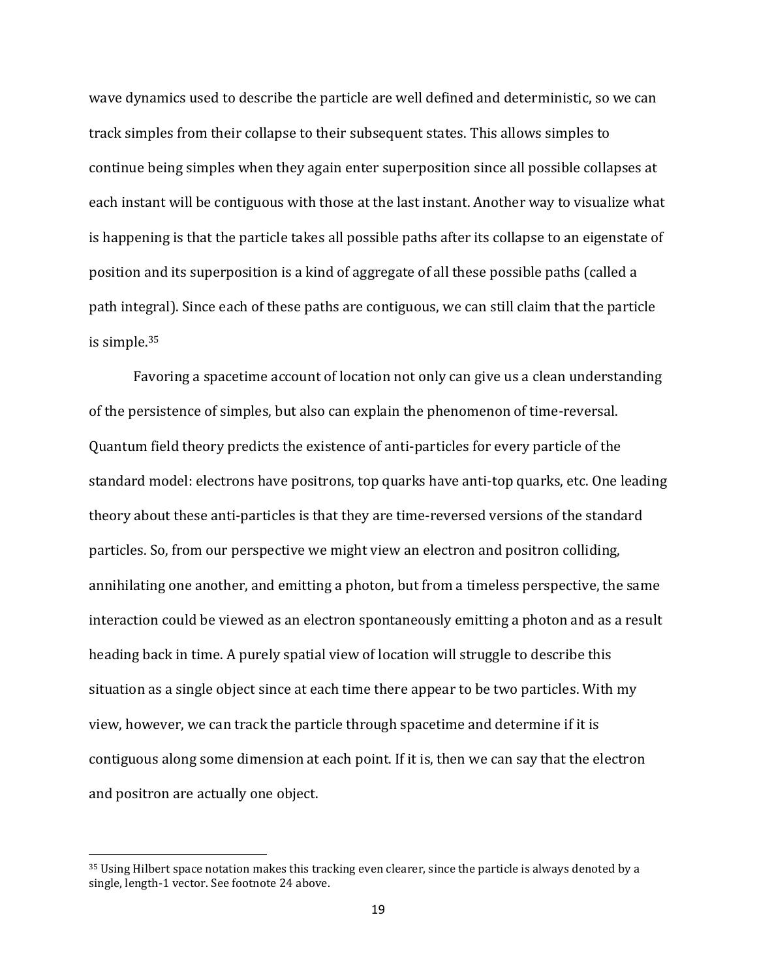wave dynamics used to describe the particle are well defined and deterministic, so we can track simples from their collapse to their subsequent states. This allows simples to continue being simples when they again enter superposition since all possible collapses at each instant will be contiguous with those at the last instant. Another way to visualize what is happening is that the particle takes all possible paths after its collapse to an eigenstate of position and its superposition is a kind of aggregate of all these possible paths (called a path integral). Since each of these paths are contiguous, we can still claim that the particle is simple.<sup>35</sup>

Favoring a spacetime account of location not only can give us a clean understanding of the persistence of simples, but also can explain the phenomenon of time-reversal. Quantum field theory predicts the existence of anti-particles for every particle of the standard model: electrons have positrons, top quarks have anti-top quarks, etc. One leading theory about these anti-particles is that they are time-reversed versions of the standard particles. So, from our perspective we might view an electron and positron colliding, annihilating one another, and emitting a photon, but from a timeless perspective, the same interaction could be viewed as an electron spontaneously emitting a photon and as a result heading back in time. A purely spatial view of location will struggle to describe this situation as a single object since at each time there appear to be two particles. With my view, however, we can track the particle through spacetime and determine if it is contiguous along some dimension at each point. If it is, then we can say that the electron and positron are actually one object.

<sup>35</sup> Using Hilbert space notation makes this tracking even clearer, since the particle is always denoted by a single, length-1 vector. See footnote 24 above.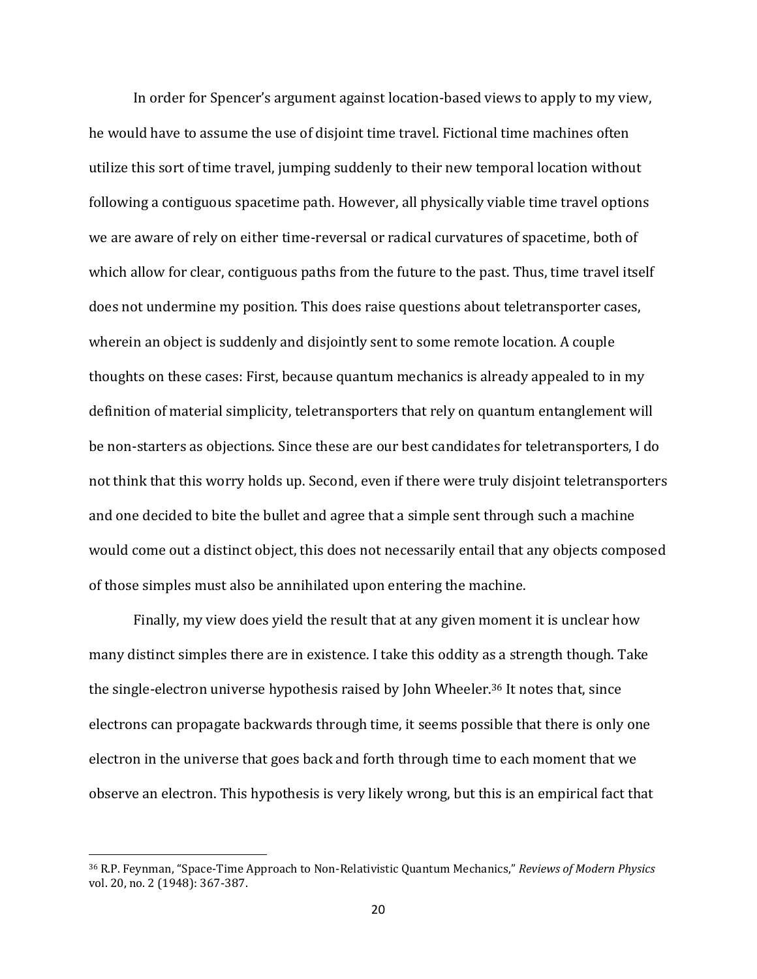In order for Spencer's argument against location-based views to apply to my view, he would have to assume the use of disjoint time travel. Fictional time machines often utilize this sort of time travel, jumping suddenly to their new temporal location without following a contiguous spacetime path. However, all physically viable time travel options we are aware of rely on either time-reversal or radical curvatures of spacetime, both of which allow for clear, contiguous paths from the future to the past. Thus, time travel itself does not undermine my position. This does raise questions about teletransporter cases, wherein an object is suddenly and disjointly sent to some remote location. A couple thoughts on these cases: First, because quantum mechanics is already appealed to in my definition of material simplicity, teletransporters that rely on quantum entanglement will be non-starters as objections. Since these are our best candidates for teletransporters, I do not think that this worry holds up. Second, even if there were truly disjoint teletransporters and one decided to bite the bullet and agree that a simple sent through such a machine would come out a distinct object, this does not necessarily entail that any objects composed of those simples must also be annihilated upon entering the machine.

Finally, my view does yield the result that at any given moment it is unclear how many distinct simples there are in existence. I take this oddity as a strength though. Take the single-electron universe hypothesis raised by John Wheeler. <sup>36</sup> It notes that, since electrons can propagate backwards through time, it seems possible that there is only one electron in the universe that goes back and forth through time to each moment that we observe an electron. This hypothesis is very likely wrong, but this is an empirical fact that

<sup>36</sup> R.P. Feynman, "Space-Time Approach to Non-Relativistic Quantum Mechanics," *Reviews of Modern Physics* vol. 20, no. 2 (1948): 367-387.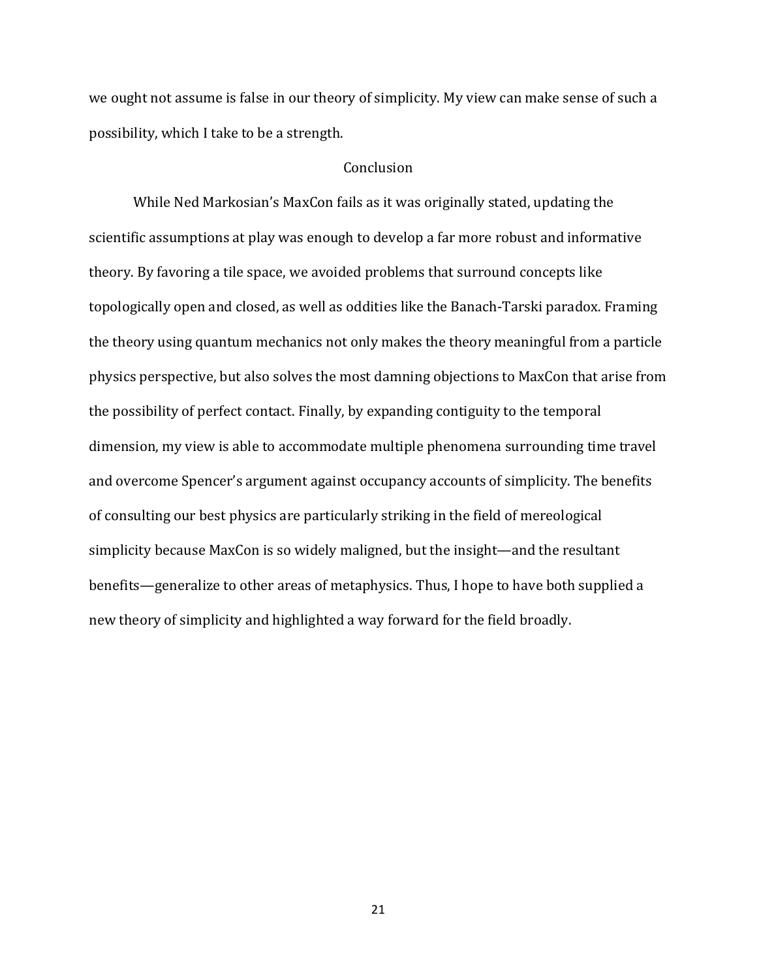we ought not assume is false in our theory of simplicity. My view can make sense of such a possibility, which I take to be a strength.

#### Conclusion

While Ned Markosian's MaxCon fails as it was originally stated, updating the scientific assumptions at play was enough to develop a far more robust and informative theory. By favoring a tile space, we avoided problems that surround concepts like topologically open and closed, as well as oddities like the Banach-Tarski paradox. Framing the theory using quantum mechanics not only makes the theory meaningful from a particle physics perspective, but also solves the most damning objections to MaxCon that arise from the possibility of perfect contact. Finally, by expanding contiguity to the temporal dimension, my view is able to accommodate multiple phenomena surrounding time travel and overcome Spencer's argument against occupancy accounts of simplicity. The benefits of consulting our best physics are particularly striking in the field of mereological simplicity because MaxCon is so widely maligned, but the insight—and the resultant benefits—generalize to other areas of metaphysics. Thus, I hope to have both supplied a new theory of simplicity and highlighted a way forward for the field broadly.

21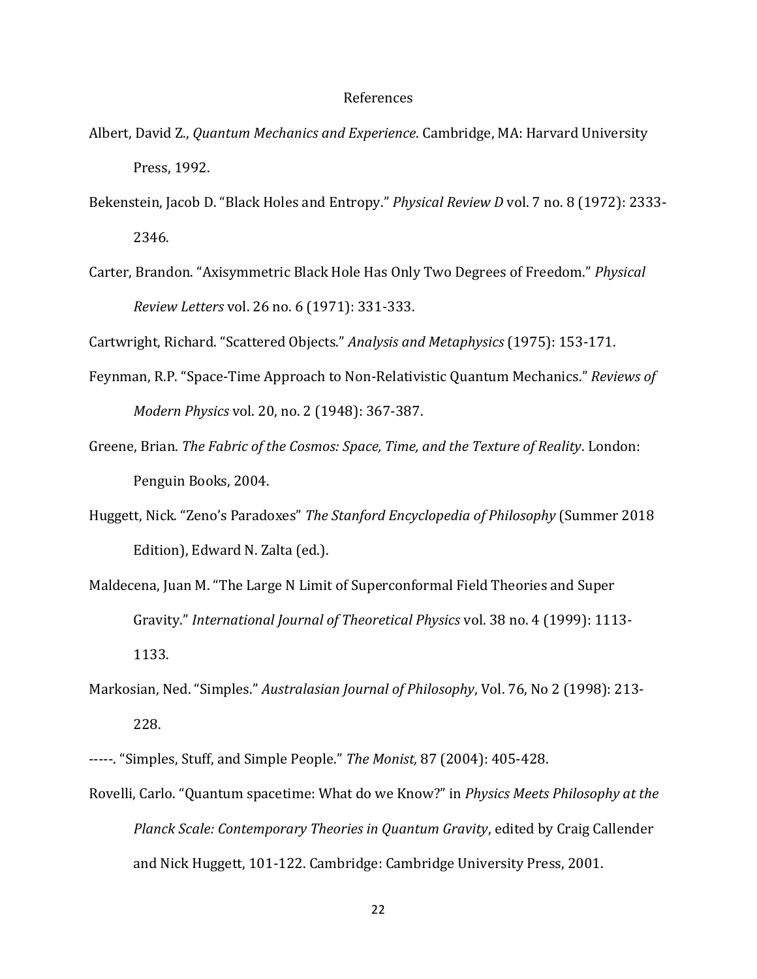#### References

- Albert, David Z., *Quantum Mechanics and Experience*. Cambridge, MA: Harvard University Press, 1992.
- Bekenstein, Jacob D. "Black Holes and Entropy." *Physical Review D* vol. 7 no. 8 (1972): 2333- 2346.
- Carter, Brandon. "Axisymmetric Black Hole Has Only Two Degrees of Freedom." *Physical Review Letters* vol. 26 no. 6 (1971): 331-333.

Cartwright, Richard. "Scattered Objects." *Analysis and Metaphysics* (1975): 153-171.

- Feynman, R.P. "Space-Time Approach to Non-Relativistic Quantum Mechanics." *Reviews of Modern Physics* vol. 20, no. 2 (1948): 367-387.
- Greene, Brian. *The Fabric of the Cosmos: Space, Time, and the Texture of Reality*. London: Penguin Books, 2004.
- Huggett, Nick. "Zeno's Paradoxes" *The Stanford Encyclopedia of Philosophy* (Summer 2018 Edition), Edward N. Zalta (ed.).
- Maldecena, Juan M. "The Large N Limit of Superconformal Field Theories and Super Gravity." *International Journal of Theoretical Physics* vol. 38 no. 4 (1999): 1113- 1133.
- Markosian, Ned. "Simples." *Australasian Journal of Philosophy*, Vol. 76, No 2 (1998): 213- 228.

Rovelli, Carlo. "Quantum spacetime: What do we Know?" in *Physics Meets Philosophy at the Planck Scale: Contemporary Theories in Quantum Gravity*, edited by Craig Callender and Nick Huggett, 101-122. Cambridge: Cambridge University Press, 2001.

<sup>-----.</sup> "Simples, Stuff, and Simple People." *The Monist,* 87 (2004): 405-428.